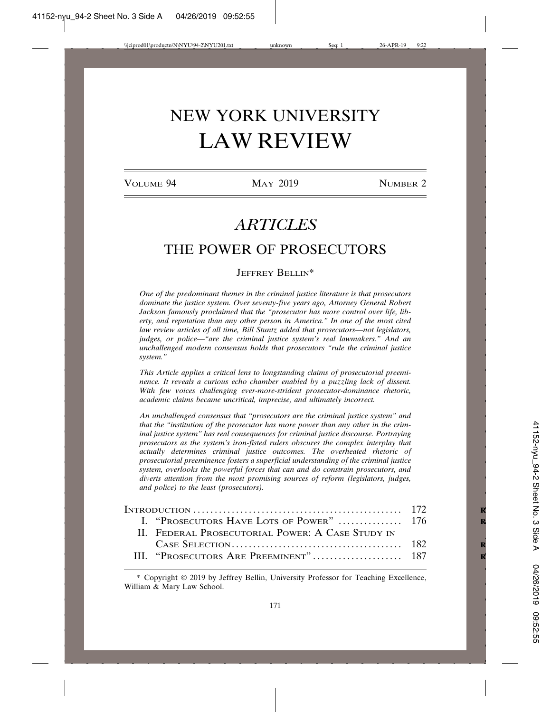# NEW YORK UNIVERSITY LAW REVIEW

VOLUME 94 MAY 2019 NUMBER 2

# *ARTICLES*

# THE POWER OF PROSECUTORS

# JEFFREY BELLIN\*

*One of the predominant themes in the criminal justice literature is that prosecutors dominate the justice system. Over seventy-five years ago, Attorney General Robert Jackson famously proclaimed that the "prosecutor has more control over life, liberty, and reputation than any other person in America." In one of the most cited law review articles of all time, Bill Stuntz added that prosecutors—not legislators, judges, or police—"are the criminal justice system's real lawmakers." And an unchallenged modern consensus holds that prosecutors "rule the criminal justice system."*

*This Article applies a critical lens to longstanding claims of prosecutorial preeminence. It reveals a curious echo chamber enabled by a puzzling lack of dissent. With few voices challenging ever-more-strident prosecutor-dominance rhetoric, academic claims became uncritical, imprecise, and ultimately incorrect.*

*An unchallenged consensus that "prosecutors are the criminal justice system" and that the "institution of the prosecutor has more power than any other in the criminal justice system" has real consequences for criminal justice discourse. Portraying prosecutors as the system's iron-fisted rulers obscures the complex interplay that actually determines criminal justice outcomes. The overheated rhetoric of prosecutorial preeminence fosters a superficial understanding of the criminal justice system, overlooks the powerful forces that can and do constrain prosecutors, and diverts attention from the most promising sources of reform (legislators, judges, and police) to the least (prosecutors).*

| I. "PROSECUTORS HAVE LOTS OF POWER"  176         |  |
|--------------------------------------------------|--|
| II. FEDERAL PROSECUTORIAL POWER: A CASE STUDY IN |  |
|                                                  |  |
|                                                  |  |

<sup>\*</sup> Copyright © 2019 by Jeffrey Bellin, University Professor for Teaching Excellence, William & Mary Law School.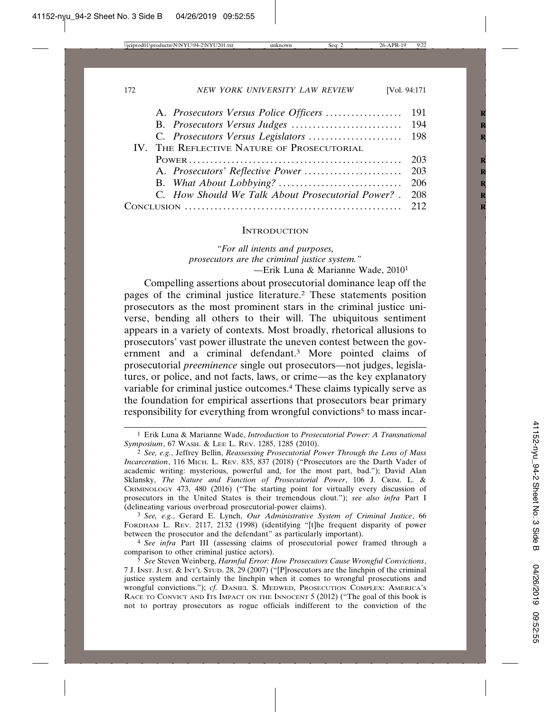| IV. THE REFLECTIVE NATURE OF PROSECUTORIAL             |  |
|--------------------------------------------------------|--|
|                                                        |  |
|                                                        |  |
|                                                        |  |
| C. How Should We Talk About Prosecutorial Power? . 208 |  |
|                                                        |  |
|                                                        |  |

## **INTRODUCTION**

*"For all intents and purposes, prosecutors are the criminal justice system."* —Erik Luna & Marianne Wade, 20101

Compelling assertions about prosecutorial dominance leap off the pages of the criminal justice literature.2 These statements position prosecutors as the most prominent stars in the criminal justice universe, bending all others to their will. The ubiquitous sentiment appears in a variety of contexts. Most broadly, rhetorical allusions to prosecutors' vast power illustrate the uneven contest between the government and a criminal defendant.3 More pointed claims of prosecutorial *preeminence* single out prosecutors—not judges, legislatures, or police, and not facts, laws, or crime—as the key explanatory variable for criminal justice outcomes.4 These claims typically serve as the foundation for empirical assertions that prosecutors bear primary responsibility for everything from wrongful convictions<sup>5</sup> to mass incar-

<sup>1</sup> Erik Luna & Marianne Wade, *Introduction* to *Prosecutorial Power: A Transnational Symposium*, 67 WASH. & LEE L. REV. 1285, 1285 (2010).

<sup>2</sup> *See, e.g.*, Jeffrey Bellin, *Reassessing Prosecutorial Power Through the Lens of Mass Incarceration*, 116 MICH. L. REV. 835, 837 (2018) ("Prosecutors are the Darth Vader of academic writing: mysterious, powerful and, for the most part, bad."); David Alan Sklansky, *The Nature and Function of Prosecutorial Power*, 106 J. CRIM. L. & CRIMINOLOGY 473, 480 (2016) ("The starting point for virtually every discussion of prosecutors in the United States is their tremendous clout."); *see also infra* Part I (delineating various overbroad prosecutorial-power claims).

<sup>3</sup> *See, e.g.*, Gerard E. Lynch, *Our Administrative System of Criminal Justice*, 66 FORDHAM L. REV. 2117, 2132 (1998) (identifying "[t]he frequent disparity of power between the prosecutor and the defendant" as particularly important).

<sup>4</sup> *See infra* Part III (assessing claims of prosecutorial power framed through a comparison to other criminal justice actors).

<sup>5</sup> *See* Steven Weinberg, *Harmful Error: How Prosecutors Cause Wrongful Convictions*, 7 J. INST. JUST. & INT'L STUD. 28, 29 (2007) ("[P]rosecutors are the linchpin of the criminal justice system and certainly the linchpin when it comes to wrongful prosecutions and wrongful convictions."); *cf.* DANIEL S. MEDWED, PROSECUTION COMPLEX: AMERICA'S RACE TO CONVICT AND ITS IMPACT ON THE INNOCENT 5 (2012) ("The goal of this book is not to portray prosecutors as rogue officials indifferent to the conviction of the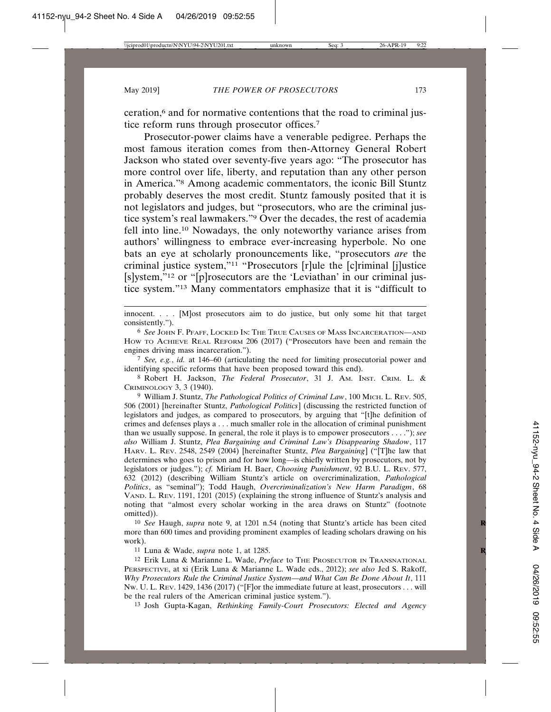ceration,<sup>6</sup> and for normative contentions that the road to criminal justice reform runs through prosecutor offices.7

Prosecutor-power claims have a venerable pedigree. Perhaps the most famous iteration comes from then-Attorney General Robert Jackson who stated over seventy-five years ago: "The prosecutor has more control over life, liberty, and reputation than any other person in America."8 Among academic commentators, the iconic Bill Stuntz probably deserves the most credit. Stuntz famously posited that it is not legislators and judges, but "prosecutors, who are the criminal justice system's real lawmakers."9 Over the decades, the rest of academia fell into line.10 Nowadays, the only noteworthy variance arises from authors' willingness to embrace ever-increasing hyperbole. No one bats an eye at scholarly pronouncements like, "prosecutors *are* the criminal justice system,"11 "Prosecutors [r]ule the [c]riminal [j]ustice [s]ystem,"12 or "[p]rosecutors are the 'Leviathan' in our criminal justice system."13 Many commentators emphasize that it is "difficult to

innocent. . . . [M]ost prosecutors aim to do justice, but only some hit that target consistently.").

7 *See, e.g.*, *id.* at 146–60 (articulating the need for limiting prosecutorial power and identifying specific reforms that have been proposed toward this end).

8 Robert H. Jackson, *The Federal Prosecutor*, 31 J. AM. INST. CRIM. L. & CRIMINOLOGY 3, 3 (1940).

9 William J. Stuntz, *The Pathological Politics of Criminal Law*, 100 MICH. L. REV. 505, 506 (2001) [hereinafter Stuntz, *Pathological Politics*] (discussing the restricted function of legislators and judges, as compared to prosecutors, by arguing that "[t]he definition of crimes and defenses plays a . . . much smaller role in the allocation of criminal punishment than we usually suppose. In general, the role it plays is to empower prosecutors . . . ."); *see also* William J. Stuntz, *Plea Bargaining and Criminal Law's Disappearing Shadow*, 117 HARV. L. REV. 2548, 2549 (2004) [hereinafter Stuntz, *Plea Bargaining*] ("[T]he law that determines who goes to prison and for how long—is chiefly written by prosecutors, not by legislators or judges."); *cf.* Miriam H. Baer, *Choosing Punishment*, 92 B.U. L. REV. 577, 632 (2012) (describing William Stuntz's article on overcriminalization, *Pathological Politics*, as "seminal"); Todd Haugh, *Overcriminalization's New Harm Paradigm*, 68 VAND. L. REV. 1191, 1201 (2015) (explaining the strong influence of Stuntz's analysis and noting that "almost every scholar working in the area draws on Stuntz" (footnote omitted)).

10 *See* Haugh, *supra* note 9, at 1201 n.54 (noting that Stuntz's article has been cited **R** more than 600 times and providing prominent examples of leading scholars drawing on his work).

11 Luna & Wade, *supra* note 1, at 1285. **R**

12 Erik Luna & Marianne L. Wade, *Preface* to THE PROSECUTOR IN TRANSNATIONAL PERSPECTIVE, at xi (Erik Luna & Marianne L. Wade eds., 2012); *see also* Jed S. Rakoff, *Why Prosecutors Rule the Criminal Justice System—and What Can Be Done About It*, 111 NW. U. L. REV. 1429, 1436 (2017) ("[F]or the immediate future at least, prosecutors . . . will be the real rulers of the American criminal justice system.").

13 Josh Gupta-Kagan, *Rethinking Family-Court Prosecutors: Elected and Agency*

<sup>6</sup> *See* JOHN F. PFAFF, LOCKED IN: THE TRUE CAUSES OF MASS INCARCERATION—AND HOW TO ACHIEVE REAL REFORM 206 (2017) ("Prosecutors have been and remain the engines driving mass incarceration.").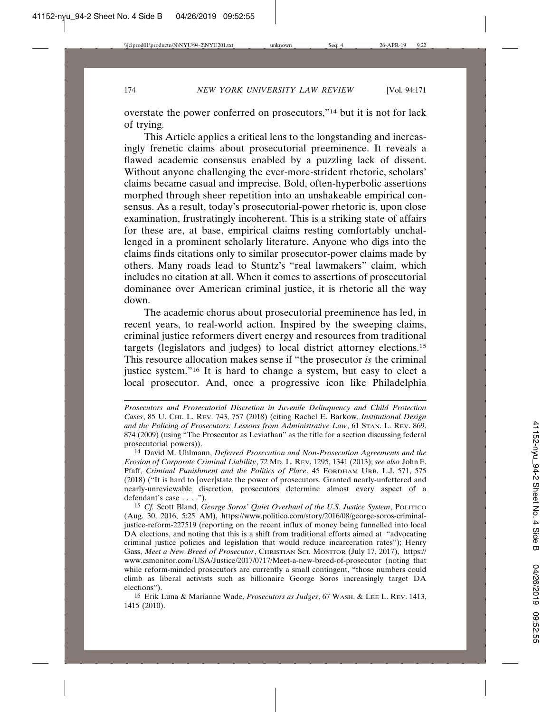overstate the power conferred on prosecutors,"14 but it is not for lack of trying.

This Article applies a critical lens to the longstanding and increasingly frenetic claims about prosecutorial preeminence. It reveals a flawed academic consensus enabled by a puzzling lack of dissent. Without anyone challenging the ever-more-strident rhetoric, scholars' claims became casual and imprecise. Bold, often-hyperbolic assertions morphed through sheer repetition into an unshakeable empirical consensus. As a result, today's prosecutorial-power rhetoric is, upon close examination, frustratingly incoherent. This is a striking state of affairs for these are, at base, empirical claims resting comfortably unchallenged in a prominent scholarly literature. Anyone who digs into the claims finds citations only to similar prosecutor-power claims made by others. Many roads lead to Stuntz's "real lawmakers" claim, which includes no citation at all. When it comes to assertions of prosecutorial dominance over American criminal justice, it is rhetoric all the way down.

The academic chorus about prosecutorial preeminence has led, in recent years, to real-world action. Inspired by the sweeping claims, criminal justice reformers divert energy and resources from traditional targets (legislators and judges) to local district attorney elections.15 This resource allocation makes sense if "the prosecutor *is* the criminal justice system."16 It is hard to change a system, but easy to elect a local prosecutor. And, once a progressive icon like Philadelphia

16 Erik Luna & Marianne Wade, *Prosecutors as Judges*, 67 WASH. & LEE L. REV. 1413, 1415 (2010).

*Prosecutors and Prosecutorial Discretion in Juvenile Delinquency and Child Protection Cases*, 85 U. CHI. L. REV. 743, 757 (2018) (citing Rachel E. Barkow, *Institutional Design and the Policing of Prosecutors: Lessons from Administrative Law*, 61 STAN. L. REV. 869, 874 (2009) (using "The Prosecutor as Leviathan" as the title for a section discussing federal prosecutorial powers)).

<sup>14</sup> David M. Uhlmann, *Deferred Prosecution and Non-Prosecution Agreements and the Erosion of Corporate Criminal Liability*, 72 MD. L. REV. 1295, 1341 (2013); *see also* John F. Pfaff, *Criminal Punishment and the Politics of Place*, 45 FORDHAM URB. L.J. 571, 575 (2018) ("It is hard to [over]state the power of prosecutors. Granted nearly-unfettered and nearly-unreviewable discretion, prosecutors determine almost every aspect of a defendant's case . . . .").

<sup>15</sup> *Cf.* Scott Bland, *George Soros' Quiet Overhaul of the U.S. Justice System*, POLITICO (Aug. 30, 2016, 5:25 AM), https://www.politico.com/story/2016/08/george-soros-criminaljustice-reform-227519 (reporting on the recent influx of money being funnelled into local DA elections, and noting that this is a shift from traditional efforts aimed at "advocating criminal justice policies and legislation that would reduce incarceration rates"); Henry Gass, *Meet a New Breed of Prosecutor*, CHRISTIAN SCI. MONITOR (July 17, 2017), https:// www.csmonitor.com/USA/Justice/2017/0717/Meet-a-new-breed-of-prosecutor (noting that while reform-minded prosecutors are currently a small contingent, "those numbers could climb as liberal activists such as billionaire George Soros increasingly target DA elections").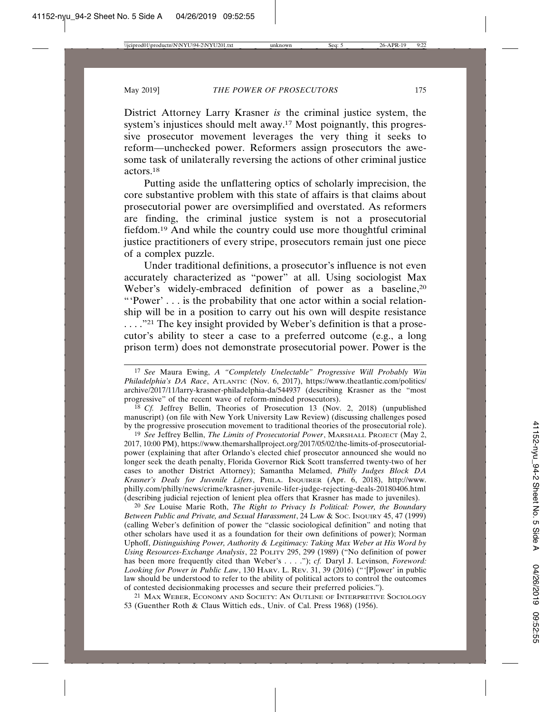District Attorney Larry Krasner *is* the criminal justice system, the system's injustices should melt away.17 Most poignantly, this progressive prosecutor movement leverages the very thing it seeks to reform—unchecked power. Reformers assign prosecutors the awesome task of unilaterally reversing the actions of other criminal justice actors.18

Putting aside the unflattering optics of scholarly imprecision, the core substantive problem with this state of affairs is that claims about prosecutorial power are oversimplified and overstated. As reformers are finding, the criminal justice system is not a prosecutorial fiefdom.19 And while the country could use more thoughtful criminal justice practitioners of every stripe, prosecutors remain just one piece of a complex puzzle.

Under traditional definitions, a prosecutor's influence is not even accurately characterized as "power" at all. Using sociologist Max Weber's widely-embraced definition of power as a baseline,<sup>20</sup> "'Power' . . . is the probability that one actor within a social relationship will be in a position to carry out his own will despite resistance . . . . . "21 The key insight provided by Weber's definition is that a prosecutor's ability to steer a case to a preferred outcome (e.g., a long prison term) does not demonstrate prosecutorial power. Power is the

18 *Cf.* Jeffrey Bellin, Theories of Prosecution 13 (Nov. 2, 2018) (unpublished manuscript) (on file with New York University Law Review) (discussing challenges posed by the progressive prosecution movement to traditional theories of the prosecutorial role).

19 *See* Jeffrey Bellin, *The Limits of Prosecutorial Power*, MARSHALL PROJECT (May 2, 2017, 10:00 PM), https://www.themarshallproject.org/2017/05/02/the-limits-of-prosecutorialpower (explaining that after Orlando's elected chief prosecutor announced she would no longer seek the death penalty, Florida Governor Rick Scott transferred twenty-two of her cases to another District Attorney); Samantha Melamed, *Philly Judges Block DA Krasner's Deals for Juvenile Lifers*, PHILA. INQUIRER (Apr. 6, 2018), http://www. philly.com/philly/news/crime/krasner-juvenile-lifer-judge-rejecting-deals-20180406.html (describing judicial rejection of lenient plea offers that Krasner has made to juveniles).

20 *See* Louise Marie Roth, *The Right to Privacy Is Political: Power, the Boundary Between Public and Private, and Sexual Harassment*, 24 LAW & SOC. INQUIRY 45, 47 (1999) (calling Weber's definition of power the "classic sociological definition" and noting that other scholars have used it as a foundation for their own definitions of power); Norman Uphoff, *Distinguishing Power, Authority & Legitimacy: Taking Max Weber at His Word by Using Resources-Exchange Analysis*, 22 POLITY 295, 299 (1989) ("No definition of power has been more frequently cited than Weber's . . . ."); *cf.* Daryl J. Levinson, *Foreword*: *Looking for Power in Public Law*, 130 HARV. L. REV. 31, 39 (2016) ("'[P]ower' in public law should be understood to refer to the ability of political actors to control the outcomes of contested decisionmaking processes and secure their preferred policies.").

21 MAX WEBER, ECONOMY AND SOCIETY: AN OUTLINE OF INTERPRETIVE SOCIOLOGY 53 (Guenther Roth & Claus Wittich eds., Univ. of Cal. Press 1968) (1956).

<sup>17</sup> *See* Maura Ewing, *A "Completely Unelectable" Progressive Will Probably Win Philadelphia's DA Race*, ATLANTIC (Nov. 6, 2017), https://www.theatlantic.com/politics/ archive/2017/11/larry-krasner-philadelphia-da/544937 (describing Krasner as the "most progressive" of the recent wave of reform-minded prosecutors).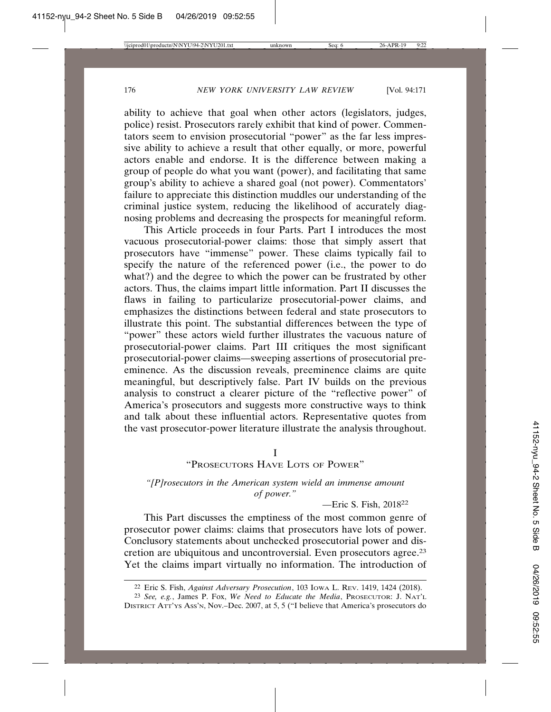ability to achieve that goal when other actors (legislators, judges, police) resist. Prosecutors rarely exhibit that kind of power. Commentators seem to envision prosecutorial "power" as the far less impressive ability to achieve a result that other equally, or more, powerful actors enable and endorse. It is the difference between making a group of people do what you want (power), and facilitating that same group's ability to achieve a shared goal (not power). Commentators' failure to appreciate this distinction muddles our understanding of the criminal justice system, reducing the likelihood of accurately diagnosing problems and decreasing the prospects for meaningful reform.

This Article proceeds in four Parts. Part I introduces the most vacuous prosecutorial-power claims: those that simply assert that prosecutors have "immense" power. These claims typically fail to specify the nature of the referenced power (i.e., the power to do what?) and the degree to which the power can be frustrated by other actors. Thus, the claims impart little information. Part II discusses the flaws in failing to particularize prosecutorial-power claims, and emphasizes the distinctions between federal and state prosecutors to illustrate this point. The substantial differences between the type of "power" these actors wield further illustrates the vacuous nature of prosecutorial-power claims. Part III critiques the most significant prosecutorial-power claims—sweeping assertions of prosecutorial preeminence. As the discussion reveals, preeminence claims are quite meaningful, but descriptively false. Part IV builds on the previous analysis to construct a clearer picture of the "reflective power" of America's prosecutors and suggests more constructive ways to think and talk about these influential actors. Representative quotes from the vast prosecutor-power literature illustrate the analysis throughout.

# I

# "PROSECUTORS HAVE LOTS OF POWER"

*"[P]rosecutors in the American system wield an immense amount of power."*

—Eric S. Fish, 201822

This Part discusses the emptiness of the most common genre of prosecutor power claims: claims that prosecutors have lots of power. Conclusory statements about unchecked prosecutorial power and discretion are ubiquitous and uncontroversial. Even prosecutors agree.23 Yet the claims impart virtually no information. The introduction of

<sup>22</sup> Eric S. Fish, *Against Adversary Prosecution*, 103 IOWA L. REV. 1419, 1424 (2018).

<sup>23</sup> *See, e.g.*, James P. Fox, *We Need to Educate the Media*, PROSECUTOR: J. NAT'L DISTRICT ATT'YS ASS'N, Nov.–Dec. 2007, at 5, 5 ("I believe that America's prosecutors do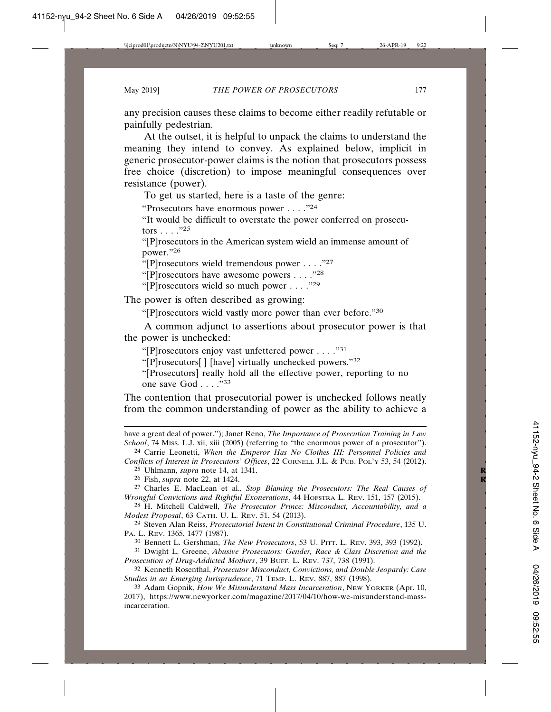any precision causes these claims to become either readily refutable or painfully pedestrian.

At the outset, it is helpful to unpack the claims to understand the meaning they intend to convey. As explained below, implicit in generic prosecutor-power claims is the notion that prosecutors possess free choice (discretion) to impose meaningful consequences over resistance (power).

To get us started, here is a taste of the genre:

"Prosecutors have enormous power . . . ."24

"It would be difficult to overstate the power conferred on prosecutors . . . ."25

"[P]rosecutors in the American system wield an immense amount of power."26

"[P]rosecutors wield tremendous power . . . ."27

"[P]rosecutors have awesome powers . . . . "28"

"[P]rosecutors wield so much power . . . ."29

The power is often described as growing:

"[P]rosecutors wield vastly more power than ever before."30

A common adjunct to assertions about prosecutor power is that the power is unchecked:

"[P]rosecutors enjoy vast unfettered power . . . ."31

"[P]rosecutors[ ] [have] virtually unchecked powers."32

"[Prosecutors] really hold all the effective power, reporting to no one save God . . . ."33

The contention that prosecutorial power is unchecked follows neatly from the common understanding of power as the ability to achieve a

have a great deal of power."); Janet Reno, *The Importance of Prosecution Training in Law School*, 74 MISS. L.J. xii, xiii (2005) (referring to "the enormous power of a prosecutor").

24 Carrie Leonetti, *When the Emperor Has No Clothes III: Personnel Policies and*

*Conflicts of Interest in Prosecutors' Offices*, 22 CORNELL J.L. & PUB. POL'Y 53, 54 (2012).

25 Uhlmann, *supra* note 14, at 1341. **R**

26 Fish, *supra* note 22, at 1424. **R**

27 Charles E. MacLean et al., *Stop Blaming the Prosecutors: The Real Causes of Wrongful Convictions and Rightful Exonerations*, 44 HOFSTRA L. REV. 151, 157 (2015).

28 H. Mitchell Caldwell, *The Prosecutor Prince: Misconduct, Accountability, and a Modest Proposal*, 63 CATH. U. L. REV. 51, 54 (2013).

29 Steven Alan Reiss, *Prosecutorial Intent in Constitutional Criminal Procedure*, 135 U. PA. L. REV. 1365, 1477 (1987).

30 Bennett L. Gershman, *The New Prosecutors*, 53 U. PITT. L. REV. 393, 393 (1992).

31 Dwight L. Greene, *Abusive Prosecutors: Gender, Race & Class Discretion and the Prosecution of Drug-Addicted Mothers*, 39 BUFF. L. REV. 737, 738 (1991).

32 Kenneth Rosenthal, *Prosecutor Misconduct, Convictions, and Double Jeopardy: Case Studies in an Emerging Jurisprudence*, 71 TEMP. L. REV. 887, 887 (1998).

33 Adam Gopnik, *How We Misunderstand Mass Incarceration*, NEW YORKER (Apr. 10, 2017), https://www.newyorker.com/magazine/2017/04/10/how-we-misunderstand-massincarceration.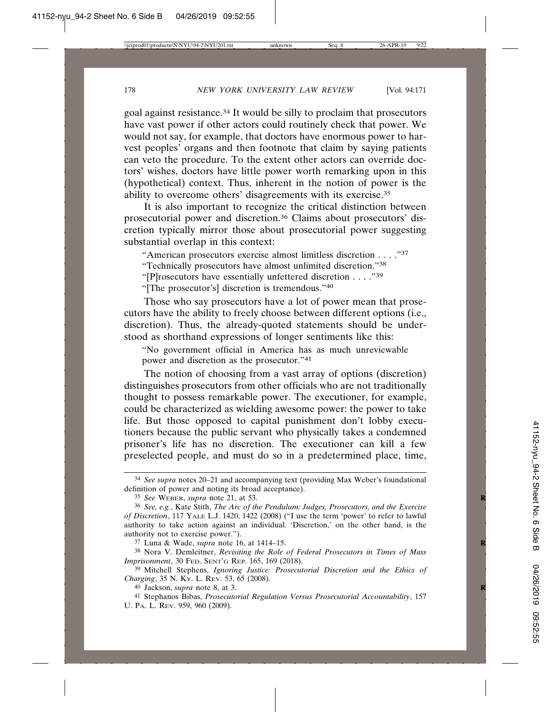goal against resistance.34 It would be silly to proclaim that prosecutors have vast power if other actors could routinely check that power. We would not say, for example, that doctors have enormous power to harvest peoples' organs and then footnote that claim by saying patients can veto the procedure. To the extent other actors can override doctors' wishes, doctors have little power worth remarking upon in this (hypothetical) context. Thus, inherent in the notion of power is the ability to overcome others' disagreements with its exercise.35

It is also important to recognize the critical distinction between prosecutorial power and discretion.36 Claims about prosecutors' discretion typically mirror those about prosecutorial power suggesting substantial overlap in this context:

"American prosecutors exercise almost limitless discretion . . . ."37

"Technically prosecutors have almost unlimited discretion."38

"[P]rosecutors have essentially unfettered discretion . . . ."39

"[The prosecutor's] discretion is tremendous."40

Those who say prosecutors have a lot of power mean that prosecutors have the ability to freely choose between different options (i.e., discretion). Thus, the already-quoted statements should be understood as shorthand expressions of longer sentiments like this:

"No government official in America has as much unreviewable power and discretion as the prosecutor."41

The notion of choosing from a vast array of options (discretion) distinguishes prosecutors from other officials who are not traditionally thought to possess remarkable power. The executioner, for example, could be characterized as wielding awesome power: the power to take life. But those opposed to capital punishment don't lobby executioners because the public servant who physically takes a condemned prisoner's life has no discretion. The executioner can kill a few preselected people, and must do so in a predetermined place, time,

<sup>34</sup> *See supra* notes 20–21 and accompanying text (providing Max Weber's foundational definition of power and noting its broad acceptance).

<sup>35</sup> *See* WEBER, *supra* note 21, at 53. **R**

<sup>36</sup> *See, e.g.*, Kate Stith, *The Arc of the Pendulum: Judges, Prosecutors, and the Exercise of Discretion*, 117 YALE L.J. 1420, 1422 (2008) ("I use the term 'power' to refer to lawful authority to take action against an individual. 'Discretion,' on the other hand, is the authority not to exercise power.").

<sup>37</sup> Luna & Wade, *supra* note 16, at 1414–15. **R**

<sup>38</sup> Nora V. Demleitner, *Revisiting the Role of Federal Prosecutors in Times of Mass Imprisonment*, 30 FED. SENT'G REP. 165, 169 (2018).

<sup>39</sup> Mitchell Stephens, *Ignoring Justice: Prosecutorial Discretion and the Ethics of Charging*, 35 N. KY. L. REV. 53, 65 (2008).

<sup>40</sup> Jackson, *supra* note 8, at 3. **R**

<sup>41</sup> Stephanos Bibas, *Prosecutorial Regulation Versus Prosecutorial Accountability*, 157 U. PA. L. REV. 959, 960 (2009).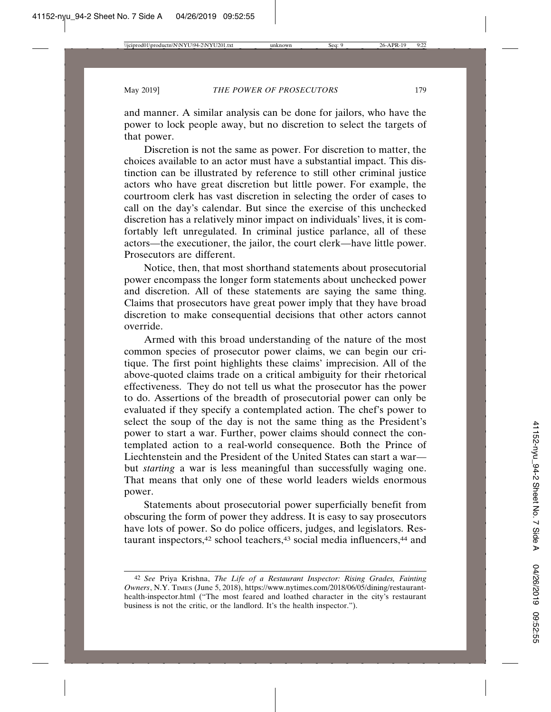and manner. A similar analysis can be done for jailors, who have the power to lock people away, but no discretion to select the targets of that power.

Discretion is not the same as power. For discretion to matter, the choices available to an actor must have a substantial impact. This distinction can be illustrated by reference to still other criminal justice actors who have great discretion but little power. For example, the courtroom clerk has vast discretion in selecting the order of cases to call on the day's calendar. But since the exercise of this unchecked discretion has a relatively minor impact on individuals' lives, it is comfortably left unregulated. In criminal justice parlance, all of these actors—the executioner, the jailor, the court clerk—have little power. Prosecutors are different.

Notice, then, that most shorthand statements about prosecutorial power encompass the longer form statements about unchecked power and discretion. All of these statements are saying the same thing. Claims that prosecutors have great power imply that they have broad discretion to make consequential decisions that other actors cannot override.

Armed with this broad understanding of the nature of the most common species of prosecutor power claims, we can begin our critique. The first point highlights these claims' imprecision. All of the above-quoted claims trade on a critical ambiguity for their rhetorical effectiveness. They do not tell us what the prosecutor has the power to do. Assertions of the breadth of prosecutorial power can only be evaluated if they specify a contemplated action. The chef's power to select the soup of the day is not the same thing as the President's power to start a war. Further, power claims should connect the contemplated action to a real-world consequence. Both the Prince of Liechtenstein and the President of the United States can start a war but *starting* a war is less meaningful than successfully waging one. That means that only one of these world leaders wields enormous power.

Statements about prosecutorial power superficially benefit from obscuring the form of power they address. It is easy to say prosecutors have lots of power. So do police officers, judges, and legislators. Restaurant inspectors,<sup>42</sup> school teachers,<sup>43</sup> social media influencers,<sup>44</sup> and

<sup>42</sup> *See* Priya Krishna, *The Life of a Restaurant Inspector: Rising Grades, Fainting Owners*, N.Y. TIMES (June 5, 2018), https://www.nytimes.com/2018/06/05/dining/restauranthealth-inspector.html ("The most feared and loathed character in the city's restaurant business is not the critic, or the landlord. It's the health inspector.").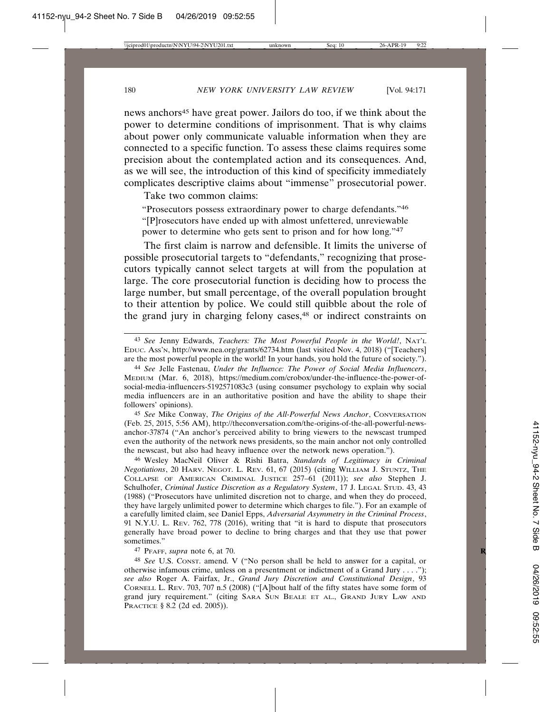news anchors<sup>45</sup> have great power. Jailors do too, if we think about the power to determine conditions of imprisonment. That is why claims about power only communicate valuable information when they are connected to a specific function. To assess these claims requires some precision about the contemplated action and its consequences. And, as we will see, the introduction of this kind of specificity immediately complicates descriptive claims about "immense" prosecutorial power.

Take two common claims:

"Prosecutors possess extraordinary power to charge defendants."46 "[P]rosecutors have ended up with almost unfettered, unreviewable power to determine who gets sent to prison and for how long."47

The first claim is narrow and defensible. It limits the universe of possible prosecutorial targets to "defendants," recognizing that prosecutors typically cannot select targets at will from the population at large. The core prosecutorial function is deciding how to process the large number, but small percentage, of the overall population brought to their attention by police. We could still quibble about the role of the grand jury in charging felony cases,<sup>48</sup> or indirect constraints on

45 *See* Mike Conway, *The Origins of the All-Powerful News Anchor*, CONVERSATION (Feb. 25, 2015, 5:56 AM), http://theconversation.com/the-origins-of-the-all-powerful-newsanchor-37874 ("An anchor's perceived ability to bring viewers to the newscast trumped even the authority of the network news presidents, so the main anchor not only controlled the newscast, but also had heavy influence over the network news operation.").

46 Wesley MacNeil Oliver & Rishi Batra, *Standards of Legitimacy in Criminal Negotiations*, 20 HARV. NEGOT. L. REV. 61, 67 (2015) (citing WILLIAM J. STUNTZ, THE COLLAPSE OF AMERICAN CRIMINAL JUSTICE 257–61 (2011)); *see also* Stephen J. Schulhofer, *Criminal Justice Discretion as a Regulatory System*, 17 J. LEGAL STUD. 43, 43 (1988) ("Prosecutors have unlimited discretion not to charge, and when they do proceed, they have largely unlimited power to determine which charges to file."). For an example of a carefully limited claim, see Daniel Epps, *Adversarial Asymmetry in the Criminal Process*, 91 N.Y.U. L. REV. 762, 778 (2016), writing that "it is hard to dispute that prosecutors generally have broad power to decline to bring charges and that they use that power sometimes."

47 PFAFF, *supra* note 6, at 70. **R**

48 *See* U.S. CONST. amend. V ("No person shall be held to answer for a capital, or otherwise infamous crime, unless on a presentment or indictment of a Grand Jury . . . ."); *see also* Roger A. Fairfax, Jr., *Grand Jury Discretion and Constitutional Design*, 93 CORNELL L. REV. 703, 707 n.5 (2008) ("[A]bout half of the fifty states have some form of grand jury requirement." (citing SARA SUN BEALE ET AL., GRAND JURY LAW AND PRACTICE § 8.2 (2d ed. 2005)).

<sup>43</sup> *See* Jenny Edwards, *Teachers: The Most Powerful People in the World!*, NAT'L EDUC. ASS'N, http://www.nea.org/grants/62734.htm (last visited Nov. 4, 2018) ("[Teachers] are the most powerful people in the world! In your hands, you hold the future of society.").

<sup>44</sup> *See* Jelle Fastenau, *Under the Influence: The Power of Social Media Influencers*, MEDIUM (Mar. 6, 2018), https://medium.com/crobox/under-the-influence-the-power-ofsocial-media-influencers-5192571083c3 (using consumer psychology to explain why social media influencers are in an authoritative position and have the ability to shape their followers' opinions).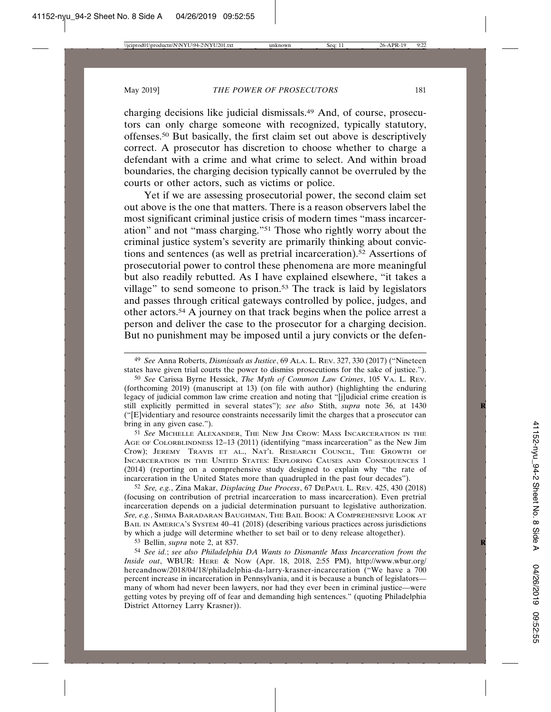charging decisions like judicial dismissals.49 And, of course, prosecutors can only charge someone with recognized, typically statutory, offenses.50 But basically, the first claim set out above is descriptively correct. A prosecutor has discretion to choose whether to charge a defendant with a crime and what crime to select. And within broad boundaries, the charging decision typically cannot be overruled by the courts or other actors, such as victims or police.

Yet if we are assessing prosecutorial power, the second claim set out above is the one that matters. There is a reason observers label the most significant criminal justice crisis of modern times "mass incarceration" and not "mass charging."51 Those who rightly worry about the criminal justice system's severity are primarily thinking about convictions and sentences (as well as pretrial incarceration).52 Assertions of prosecutorial power to control these phenomena are more meaningful but also readily rebutted. As I have explained elsewhere, "it takes a village" to send someone to prison.53 The track is laid by legislators and passes through critical gateways controlled by police, judges, and other actors.54 A journey on that track begins when the police arrest a person and deliver the case to the prosecutor for a charging decision. But no punishment may be imposed until a jury convicts or the defen-

50 *See* Carissa Byrne Hessick, *The Myth of Common Law Crimes*, 105 VA. L. REV. (forthcoming 2019) (manuscript at 13) (on file with author) (highlighting the enduring legacy of judicial common law crime creation and noting that "[j]udicial crime creation is still explicitly permitted in several states"); see also Stith, *supra* note 36, at 1430 ("[E]videntiary and resource constraints necessarily limit the charges that a prosecutor can bring in any given case.").

51 *See* MICHELLE ALEXANDER, THE NEW JIM CROW: MASS INCARCERATION IN THE AGE OF COLORBLINDNESS 12–13 (2011) (identifying "mass incarceration" as the New Jim Crow); JEREMY TRAVIS ET AL., NAT'L RESEARCH COUNCIL, THE GROWTH OF INCARCERATION IN THE UNITED STATES: EXPLORING CAUSES AND CONSEQUENCES 1 (2014) (reporting on a comprehensive study designed to explain why "the rate of incarceration in the United States more than quadrupled in the past four decades").

52 *See, e.g.*, Zina Makar, *Displacing Due Process*, 67 DEPAUL L. REV. 425, 430 (2018) (focusing on contribution of pretrial incarceration to mass incarceration). Even pretrial incarceration depends on a judicial determination pursuant to legislative authorization. *See, e.g.*, SHIMA BARADARAN BAUGHMAN, THE BAIL BOOK: A COMPREHENSIVE LOOK AT BAIL IN AMERICA'S SYSTEM 40–41 (2018) (describing various practices across jurisdictions by which a judge will determine whether to set bail or to deny release altogether).

53 Bellin, *supra* note 2, at 837. **R**

54 *See id.*; *see also Philadelphia DA Wants to Dismantle Mass Incarceration from the Inside out*, WBUR: HERE & NOW (Apr. 18, 2018, 2:55 PM), http://www.wbur.org/ hereandnow/2018/04/18/philadelphia-da-larry-krasner-incarceration ("We have a 700 percent increase in incarceration in Pennsylvania, and it is because a bunch of legislators many of whom had never been lawyers, nor had they ever been in criminal justice—were getting votes by preying off of fear and demanding high sentences." (quoting Philadelphia District Attorney Larry Krasner)).

<sup>49</sup> *See* Anna Roberts, *Dismissals as Justice*, 69 ALA. L. REV. 327, 330 (2017) ("Nineteen states have given trial courts the power to dismiss prosecutions for the sake of justice.").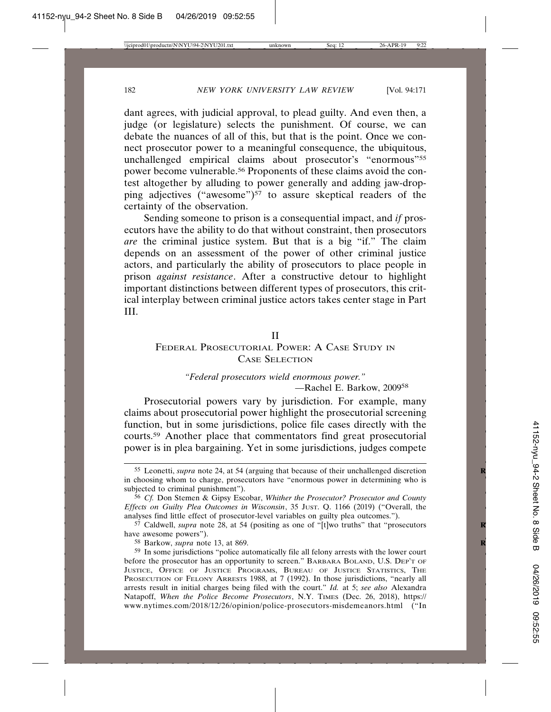dant agrees, with judicial approval, to plead guilty. And even then, a judge (or legislature) selects the punishment. Of course, we can debate the nuances of all of this, but that is the point. Once we connect prosecutor power to a meaningful consequence, the ubiquitous, unchallenged empirical claims about prosecutor's "enormous"55 power become vulnerable.56 Proponents of these claims avoid the contest altogether by alluding to power generally and adding jaw-dropping adjectives ("awesome")<sup>57</sup> to assure skeptical readers of the certainty of the observation.

Sending someone to prison is a consequential impact, and *if* prosecutors have the ability to do that without constraint, then prosecutors *are* the criminal justice system. But that is a big "if." The claim depends on an assessment of the power of other criminal justice actors, and particularly the ability of prosecutors to place people in prison *against resistance*. After a constructive detour to highlight important distinctions between different types of prosecutors, this critical interplay between criminal justice actors takes center stage in Part III.

## II

# FEDERAL PROSECUTORIAL POWER: A CASE STUDY IN CASE SELECTION

# *"Federal prosecutors wield enormous power."* —Rachel E. Barkow, 200958

Prosecutorial powers vary by jurisdiction. For example, many claims about prosecutorial power highlight the prosecutorial screening function, but in some jurisdictions, police file cases directly with the courts.59 Another place that commentators find great prosecutorial power is in plea bargaining. Yet in some jurisdictions, judges compete

<sup>55</sup> Leonetti, *supra* note 24, at 54 (arguing that because of their unchallenged discretion **R** in choosing whom to charge, prosecutors have "enormous power in determining who is subjected to criminal punishment").

<sup>56</sup> *Cf.* Don Stemen & Gipsy Escobar, *Whither the Prosecutor? Prosecutor and County Effects on Guilty Plea Outcomes in Wisconsin*, 35 JUST. Q. 1166 (2019) ("Overall, the analyses find little effect of prosecutor-level variables on guilty plea outcomes.").

<sup>&</sup>lt;sup>57</sup> Caldwell, *supra* note 28, at 54 (positing as one of "[t]wo truths" that "prosecutors have awesome powers").

<sup>58</sup> Barkow, *supra* note 13, at 869. **R**

<sup>59</sup> In some jurisdictions "police automatically file all felony arrests with the lower court before the prosecutor has an opportunity to screen." BARBARA BOLAND, U.S. DEP'T OF JUSTICE, OFFICE OF JUSTICE PROGRAMS, BUREAU OF JUSTICE STATISTICS, THE PROSECUTION OF FELONY ARRESTS 1988, at 7 (1992). In those jurisdictions, "nearly all arrests result in initial charges being filed with the court." *Id.* at 5; *see also* Alexandra Natapoff, *When the Police Become Prosecutors*, N.Y. TIMES (Dec. 26, 2018), https:// www.nytimes.com/2018/12/26/opinion/police-prosecutors-misdemeanors.html ("In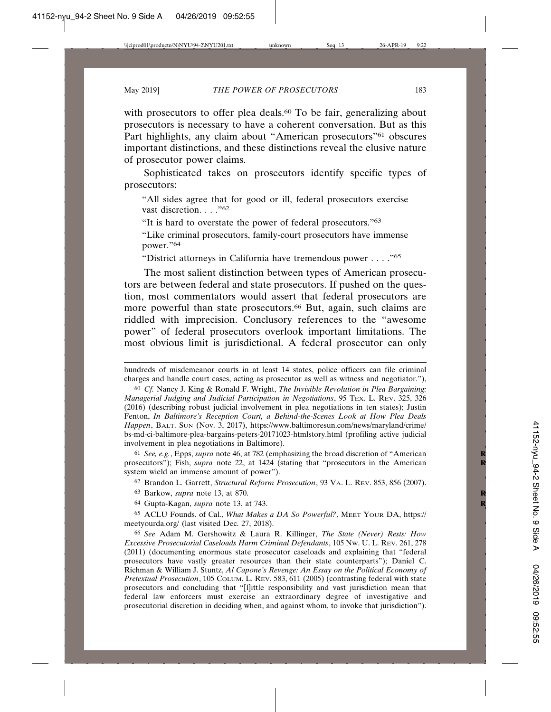with prosecutors to offer plea deals.<sup>60</sup> To be fair, generalizing about prosecutors is necessary to have a coherent conversation. But as this Part highlights, any claim about "American prosecutors"<sup>61</sup> obscures important distinctions, and these distinctions reveal the elusive nature of prosecutor power claims.

Sophisticated takes on prosecutors identify specific types of prosecutors:

"All sides agree that for good or ill, federal prosecutors exercise vast discretion. . . ."62

"It is hard to overstate the power of federal prosecutors."63

"Like criminal prosecutors, family-court prosecutors have immense power."64

"District attorneys in California have tremendous power . . . ."65

The most salient distinction between types of American prosecutors are between federal and state prosecutors. If pushed on the question, most commentators would assert that federal prosecutors are more powerful than state prosecutors.<sup>66</sup> But, again, such claims are riddled with imprecision. Conclusory references to the "awesome power" of federal prosecutors overlook important limitations. The most obvious limit is jurisdictional. A federal prosecutor can only

61 *See, e.g.*, Epps, *supra* note 46, at 782 (emphasizing the broad discretion of "American **R** prosecutors"); Fish, *supra* note 22, at 1424 (stating that "prosecutors in the American system wield an immense amount of power").

62 Brandon L. Garrett, *Structural Reform Prosecution*, 93 VA. L. REV. 853, 856 (2007).

63 Barkow, *supra* note 13, at 870. **R**

64 Gupta-Kagan, *supra* note 13, at 743. **R**

65 ACLU Founds. of Cal., *What Makes a DA So Powerful?*, MEET YOUR DA, https:// meetyourda.org/ (last visited Dec. 27, 2018).

66 *See* Adam M. Gershowitz & Laura R. Killinger, *The State (Never) Rests: How Excessive Prosecutorial Caseloads Harm Criminal Defendants*, 105 NW. U. L. REV. 261, 278 (2011) (documenting enormous state prosecutor caseloads and explaining that "federal prosecutors have vastly greater resources than their state counterparts"); Daniel C. Richman & William J. Stuntz, *Al Capone's Revenge: An Essay on the Political Economy of Pretextual Prosecution*, 105 COLUM. L. REV. 583, 611 (2005) (contrasting federal with state prosecutors and concluding that "[l]ittle responsibility and vast jurisdiction mean that federal law enforcers must exercise an extraordinary degree of investigative and prosecutorial discretion in deciding when, and against whom, to invoke that jurisdiction").

hundreds of misdemeanor courts in at least 14 states, police officers can file criminal charges and handle court cases, acting as prosecutor as well as witness and negotiator."),

<sup>60</sup> *Cf.* Nancy J. King & Ronald F. Wright, *The Invisible Revolution in Plea Bargaining: Managerial Judging and Judicial Participation in Negotiations*, 95 TEX. L. REV. 325, 326 (2016) (describing robust judicial involvement in plea negotiations in ten states); Justin Fenton, *In Baltimore's Reception Court, a Behind-the-Scenes Look at How Plea Deals Happen*, BALT. SUN (Nov. 3, 2017), https://www.baltimoresun.com/news/maryland/crime/ bs-md-ci-baltimore-plea-bargains-peters-20171023-htmlstory.html (profiling active judicial involvement in plea negotiations in Baltimore).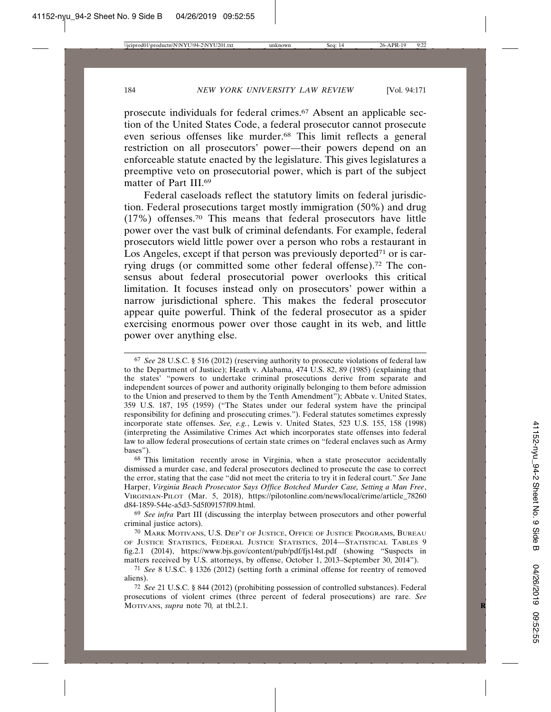prosecute individuals for federal crimes.67 Absent an applicable section of the United States Code, a federal prosecutor cannot prosecute even serious offenses like murder.68 This limit reflects a general restriction on all prosecutors' power—their powers depend on an enforceable statute enacted by the legislature. This gives legislatures a preemptive veto on prosecutorial power, which is part of the subject matter of Part III.69

Federal caseloads reflect the statutory limits on federal jurisdiction. Federal prosecutions target mostly immigration (50%) and drug (17%) offenses.70 This means that federal prosecutors have little power over the vast bulk of criminal defendants. For example, federal prosecutors wield little power over a person who robs a restaurant in Los Angeles, except if that person was previously deported<sup> $71$ </sup> or is carrying drugs (or committed some other federal offense).72 The consensus about federal prosecutorial power overlooks this critical limitation. It focuses instead only on prosecutors' power within a narrow jurisdictional sphere. This makes the federal prosecutor appear quite powerful. Think of the federal prosecutor as a spider exercising enormous power over those caught in its web, and little power over anything else.

68 This limitation recently arose in Virginia, when a state prosecutor accidentally dismissed a murder case, and federal prosecutors declined to prosecute the case to correct the error, stating that the case "did not meet the criteria to try it in federal court." *See* Jane Harper, *Virginia Beach Prosecutor Says Office Botched Murder Case, Setting a Man Free*, VIRGINIAN-PILOT (Mar. 5, 2018), https://pilotonline.com/news/local/crime/article\_78260 d84-1859-544e-a5d3-5d5f09157f09.html.

69 *See infra* Part III (discussing the interplay between prosecutors and other powerful criminal justice actors).

70 MARK MOTIVANS, U.S. DEP'T OF JUSTICE, OFFICE OF JUSTICE PROGRAMS, BUREAU OF JUSTICE STATISTICS, FEDERAL JUSTICE STATISTICS, 2014—STATISTICAL TABLES 9 fig.2.1 (2014), https://www.bjs.gov/content/pub/pdf/fjs14st.pdf (showing "Suspects in matters received by U.S. attorneys, by offense, October 1, 2013–September 30, 2014").

71 *See* 8 U.S.C. § 1326 (2012) (setting forth a criminal offense for reentry of removed aliens).

72 *See* 21 U.S.C. § 844 (2012) (prohibiting possession of controlled substances). Federal prosecutions of violent crimes (three percent of federal prosecutions) are rare. *See* MOTIVANS, *supra* note 70*,* at tbl.2.1. **R**

<sup>67</sup> *See* 28 U.S.C. § 516 (2012) (reserving authority to prosecute violations of federal law to the Department of Justice); Heath v. Alabama, 474 U.S. 82, 89 (1985) (explaining that the states' "powers to undertake criminal prosecutions derive from separate and independent sources of power and authority originally belonging to them before admission to the Union and preserved to them by the Tenth Amendment"); Abbate v. United States, 359 U.S. 187, 195 (1959) ("The States under our federal system have the principal responsibility for defining and prosecuting crimes."). Federal statutes sometimes expressly incorporate state offenses. *See, e.g.*, Lewis v. United States, 523 U.S. 155, 158 (1998) (interpreting the Assimilative Crimes Act which incorporates state offenses into federal law to allow federal prosecutions of certain state crimes on "federal enclaves such as Army bases").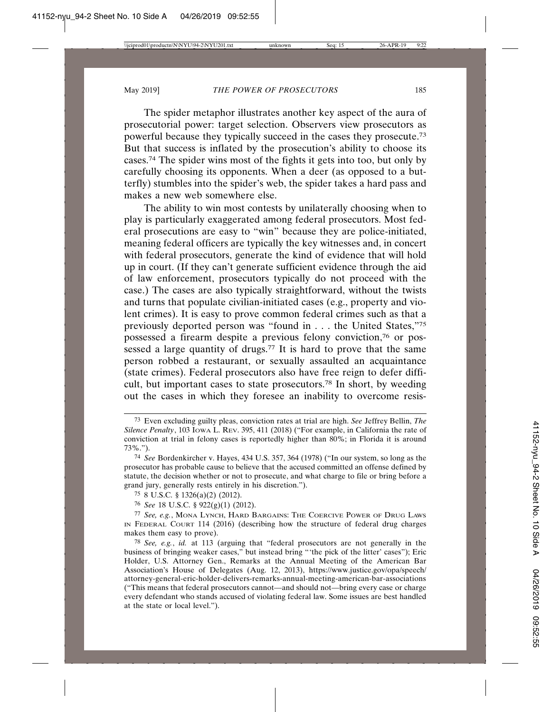The spider metaphor illustrates another key aspect of the aura of prosecutorial power: target selection. Observers view prosecutors as powerful because they typically succeed in the cases they prosecute.73 But that success is inflated by the prosecution's ability to choose its cases.74 The spider wins most of the fights it gets into too, but only by carefully choosing its opponents. When a deer (as opposed to a butterfly) stumbles into the spider's web, the spider takes a hard pass and makes a new web somewhere else.

The ability to win most contests by unilaterally choosing when to play is particularly exaggerated among federal prosecutors. Most federal prosecutions are easy to "win" because they are police-initiated, meaning federal officers are typically the key witnesses and, in concert with federal prosecutors, generate the kind of evidence that will hold up in court. (If they can't generate sufficient evidence through the aid of law enforcement, prosecutors typically do not proceed with the case.) The cases are also typically straightforward, without the twists and turns that populate civilian-initiated cases (e.g., property and violent crimes). It is easy to prove common federal crimes such as that a previously deported person was "found in . . . the United States,"75 possessed a firearm despite a previous felony conviction,76 or possessed a large quantity of drugs.<sup>77</sup> It is hard to prove that the same person robbed a restaurant, or sexually assaulted an acquaintance (state crimes). Federal prosecutors also have free reign to defer difficult, but important cases to state prosecutors.78 In short, by weeding out the cases in which they foresee an inability to overcome resis-

<sup>73</sup> Even excluding guilty pleas, conviction rates at trial are high. *See* Jeffrey Bellin, *The Silence Penalty*, 103 IOWA L. REV. 395, 411 (2018) ("For example, in California the rate of conviction at trial in felony cases is reportedly higher than 80%; in Florida it is around 73%.").

<sup>74</sup> *See* Bordenkircher v. Hayes, 434 U.S. 357, 364 (1978) ("In our system, so long as the prosecutor has probable cause to believe that the accused committed an offense defined by statute, the decision whether or not to prosecute, and what charge to file or bring before a grand jury, generally rests entirely in his discretion.").

<sup>75</sup> 8 U.S.C. § 1326(a)(2) (2012).

<sup>76</sup> *See* 18 U.S.C. § 922(g)(1) (2012).

<sup>77</sup> *See, e.g.*, MONA LYNCH, HARD BARGAINS: THE COERCIVE POWER OF DRUG LAWS IN FEDERAL COURT 114 (2016) (describing how the structure of federal drug charges makes them easy to prove).

<sup>78</sup> *See, e.g.*, *id.* at 113 (arguing that "federal prosecutors are not generally in the business of bringing weaker cases," but instead bring "'the pick of the litter' cases"); Eric Holder, U.S. Attorney Gen., Remarks at the Annual Meeting of the American Bar Association's House of Delegates (Aug. 12, 2013), https://www.justice.gov/opa/speech/ attorney-general-eric-holder-delivers-remarks-annual-meeting-american-bar-associations ("This means that federal prosecutors cannot—and should not—bring every case or charge every defendant who stands accused of violating federal law. Some issues are best handled at the state or local level.").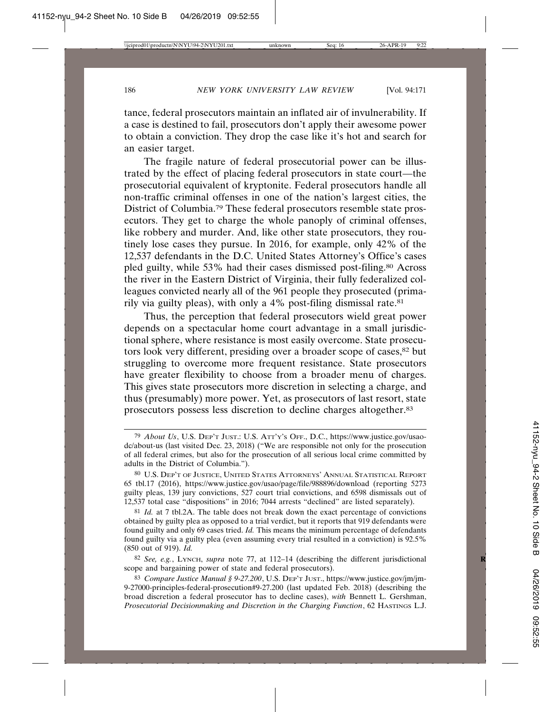tance, federal prosecutors maintain an inflated air of invulnerability. If a case is destined to fail, prosecutors don't apply their awesome power to obtain a conviction. They drop the case like it's hot and search for an easier target.

The fragile nature of federal prosecutorial power can be illustrated by the effect of placing federal prosecutors in state court—the prosecutorial equivalent of kryptonite. Federal prosecutors handle all non-traffic criminal offenses in one of the nation's largest cities, the District of Columbia.79 These federal prosecutors resemble state prosecutors. They get to charge the whole panoply of criminal offenses, like robbery and murder. And, like other state prosecutors, they routinely lose cases they pursue. In 2016, for example, only 42% of the 12,537 defendants in the D.C. United States Attorney's Office's cases pled guilty, while 53% had their cases dismissed post-filing.80 Across the river in the Eastern District of Virginia, their fully federalized colleagues convicted nearly all of the 961 people they prosecuted (primarily via guilty pleas), with only a 4% post-filing dismissal rate.81

Thus, the perception that federal prosecutors wield great power depends on a spectacular home court advantage in a small jurisdictional sphere, where resistance is most easily overcome. State prosecutors look very different, presiding over a broader scope of cases,<sup>82</sup> but struggling to overcome more frequent resistance. State prosecutors have greater flexibility to choose from a broader menu of charges. This gives state prosecutors more discretion in selecting a charge, and thus (presumably) more power. Yet, as prosecutors of last resort, state prosecutors possess less discretion to decline charges altogether.83

82 *See, e.g.*, LYNCH, *supra* note 77, at 112–14 (describing the different jurisdictional **R** scope and bargaining power of state and federal prosecutors).

<sup>79</sup> *About Us*, U.S. DEP'T JUST.: U.S. ATT'Y'S OFF., D.C., https://www.justice.gov/usaodc/about-us (last visited Dec. 23, 2018) ("We are responsible not only for the prosecution of all federal crimes, but also for the prosecution of all serious local crime committed by adults in the District of Columbia.").

<sup>80</sup> U.S. DEP'T OF JUSTICE, UNITED STATES ATTORNEYS' ANNUAL STATISTICAL REPORT 65 tbl.17 (2016), https://www.justice.gov/usao/page/file/988896/download (reporting 5273 guilty pleas, 139 jury convictions, 527 court trial convictions, and 6598 dismissals out of 12,537 total case "dispositions" in 2016; 7044 arrests "declined" are listed separately).

<sup>81</sup> *Id.* at 7 tbl.2A. The table does not break down the exact percentage of convictions obtained by guilty plea as opposed to a trial verdict, but it reports that 919 defendants were found guilty and only 69 cases tried. *Id.* This means the minimum percentage of defendants found guilty via a guilty plea (even assuming every trial resulted in a conviction) is 92.5% (850 out of 919). *Id.*

<sup>83</sup> *Compare Justice Manual § 9-27.200*, U.S. DEP'T JUST., https://www.justice.gov/jm/jm-9-27000-principles-federal-prosecution#9-27.200 (last updated Feb. 2018) (describing the broad discretion a federal prosecutor has to decline cases), *with* Bennett L. Gershman, *Prosecutorial Decisionmaking and Discretion in the Charging Function*, 62 HASTINGS L.J.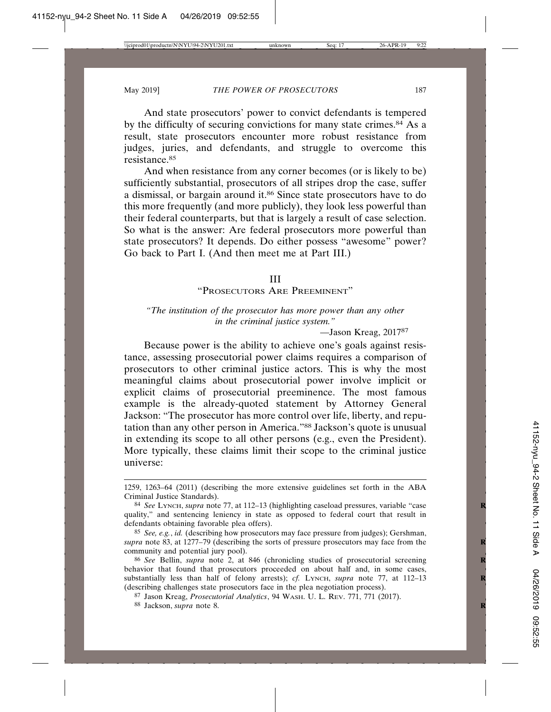And state prosecutors' power to convict defendants is tempered by the difficulty of securing convictions for many state crimes.<sup>84</sup> As a result, state prosecutors encounter more robust resistance from judges, juries, and defendants, and struggle to overcome this resistance.85

And when resistance from any corner becomes (or is likely to be) sufficiently substantial, prosecutors of all stripes drop the case, suffer a dismissal, or bargain around it.86 Since state prosecutors have to do this more frequently (and more publicly), they look less powerful than their federal counterparts, but that is largely a result of case selection. So what is the answer: Are federal prosecutors more powerful than state prosecutors? It depends. Do either possess "awesome" power? Go back to Part I. (And then meet me at Part III.)

#### III

"PROSECUTORS ARE PREEMINENT"

# *"The institution of the prosecutor has more power than any other in the criminal justice system."*

—Jason Kreag, 201787

Because power is the ability to achieve one's goals against resistance, assessing prosecutorial power claims requires a comparison of prosecutors to other criminal justice actors. This is why the most meaningful claims about prosecutorial power involve implicit or explicit claims of prosecutorial preeminence. The most famous example is the already-quoted statement by Attorney General Jackson: "The prosecutor has more control over life, liberty, and reputation than any other person in America."88 Jackson's quote is unusual in extending its scope to all other persons (e.g., even the President). More typically, these claims limit their scope to the criminal justice universe:

<sup>1259, 1263–64 (2011) (</sup>describing the more extensive guidelines set forth in the ABA Criminal Justice Standards).

<sup>84</sup> *See* LYNCH, *supra* note 77, at 112–13 (highlighting caseload pressures, variable "case **R** quality," and sentencing leniency in state as opposed to federal court that result in defendants obtaining favorable plea offers).

<sup>85</sup> *See, e.g.*, *id.* (describing how prosecutors may face pressure from judges); Gershman, *supra* note 83, at 1277–79 (describing the sorts of pressure prosecutors may face from the community and potential jury pool).

<sup>86</sup> *See* Bellin, *supra* note 2, at 846 (chronicling studies of prosecutorial screening **R** behavior that found that prosecutors proceeded on about half and, in some cases, substantially less than half of felony arrests); *cf.* LYNCH, *supra* note 77, at 112-13 (describing challenges state prosecutors face in the plea negotiation process).

<sup>87</sup> Jason Kreag, *Prosecutorial Analytics*, 94 WASH. U. L. REV. 771, 771 (2017).

<sup>88</sup> Jackson, *supra* note 8. **R**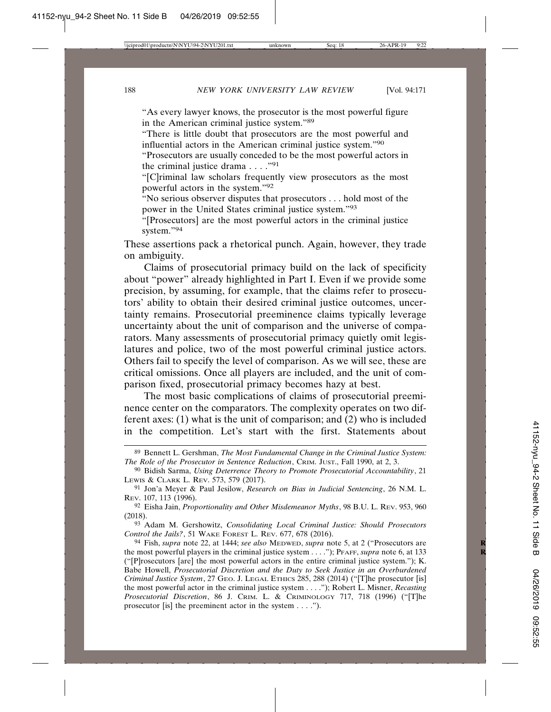"As every lawyer knows, the prosecutor is the most powerful figure in the American criminal justice system."89

"There is little doubt that prosecutors are the most powerful and influential actors in the American criminal justice system."90

"Prosecutors are usually conceded to be the most powerful actors in the criminal justice drama  $\dots$ ."<sup>91</sup>

"[C]riminal law scholars frequently view prosecutors as the most powerful actors in the system."92

"No serious observer disputes that prosecutors . . . hold most of the power in the United States criminal justice system."93

"[Prosecutors] are the most powerful actors in the criminal justice system."94

These assertions pack a rhetorical punch. Again, however, they trade on ambiguity.

Claims of prosecutorial primacy build on the lack of specificity about "power" already highlighted in Part I. Even if we provide some precision, by assuming, for example, that the claims refer to prosecutors' ability to obtain their desired criminal justice outcomes, uncertainty remains. Prosecutorial preeminence claims typically leverage uncertainty about the unit of comparison and the universe of comparators. Many assessments of prosecutorial primacy quietly omit legislatures and police, two of the most powerful criminal justice actors. Others fail to specify the level of comparison. As we will see, these are critical omissions. Once all players are included, and the unit of comparison fixed, prosecutorial primacy becomes hazy at best.

The most basic complications of claims of prosecutorial preeminence center on the comparators. The complexity operates on two different axes: (1) what is the unit of comparison; and (2) who is included in the competition. Let's start with the first. Statements about

92 Eisha Jain, *Proportionality and Other Misdemeanor Myths*, 98 B.U. L. REV. 953, 960 (2018).

93 Adam M. Gershowitz, *Consolidating Local Criminal Justice: Should Prosecutors Control the Jails?*, 51 WAKE FOREST L. REV. 677, 678 (2016).

<sup>89</sup> Bennett L. Gershman, *The Most Fundamental Change in the Criminal Justice System: The Role of the Prosecutor in Sentence Reduction*, CRIM. JUST., Fall 1990, at 2, 3.

<sup>90</sup> Bidish Sarma, *Using Deterrence Theory to Promote Prosecutorial Accountability*, 21 LEWIS & CLARK L. REV. 573, 579 (2017).

<sup>91</sup> Jon'a Meyer & Paul Jesilow, *Research on Bias in Judicial Sentencing*, 26 N.M. L. REV. 107, 113 (1996).

<sup>94</sup> Fish, *supra* note 22, at 1444; *see also* MEDWED, *supra* note 5, at 2 ("Prosecutors are **R** the most powerful players in the criminal justice system . . . ."); PFAFF, *supra* note 6, at 133 ("[P]rosecutors [are] the most powerful actors in the entire criminal justice system."); K. Babe Howell, *Prosecutorial Discretion and the Duty to Seek Justice in an Overburdened Criminal Justice System*, 27 GEO. J. LEGAL ETHICS 285, 288 (2014) ("[T]he prosecutor [is] the most powerful actor in the criminal justice system . . . ."); Robert L. Misner, *Recasting Prosecutorial Discretion*, 86 J. CRIM. L. & CRIMINOLOGY 717, 718 (1996) ("[T]he prosecutor [is] the preeminent actor in the system . . . .").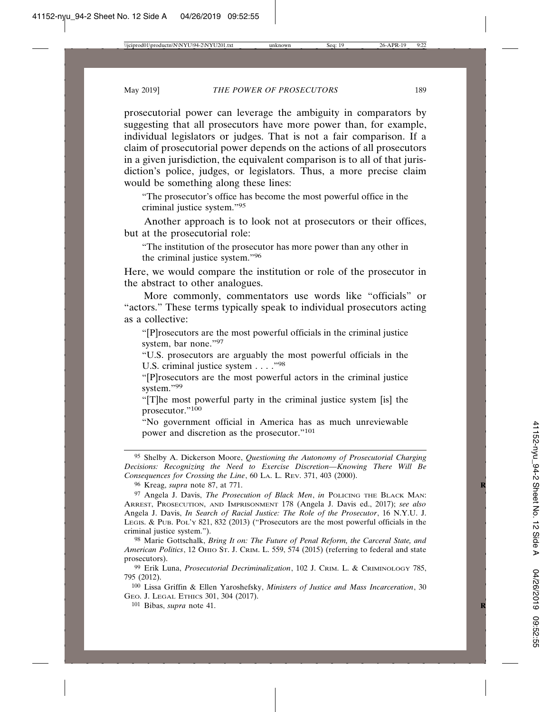prosecutorial power can leverage the ambiguity in comparators by suggesting that all prosecutors have more power than, for example, individual legislators or judges. That is not a fair comparison. If a claim of prosecutorial power depends on the actions of all prosecutors in a given jurisdiction, the equivalent comparison is to all of that jurisdiction's police, judges, or legislators. Thus, a more precise claim would be something along these lines:

"The prosecutor's office has become the most powerful office in the criminal justice system."95

Another approach is to look not at prosecutors or their offices, but at the prosecutorial role:

"The institution of the prosecutor has more power than any other in the criminal justice system."96

Here, we would compare the institution or role of the prosecutor in the abstract to other analogues.

More commonly, commentators use words like "officials" or "actors." These terms typically speak to individual prosecutors acting as a collective:

"[P]rosecutors are the most powerful officials in the criminal justice system, bar none."97

"U.S. prosecutors are arguably the most powerful officials in the U.S. criminal justice system . . . . "98"

"[P]rosecutors are the most powerful actors in the criminal justice system."99

"[T]he most powerful party in the criminal justice system [is] the prosecutor."100

"No government official in America has as much unreviewable power and discretion as the prosecutor."101

95 Shelby A. Dickerson Moore, *Questioning the Autonomy of Prosecutorial Charging Decisions: Recognizing the Need to Exercise Discretion—Knowing There Will Be Consequences for Crossing the Line*, 60 LA. L. REV. 371, 403 (2000).

96 Kreag, *supra* note 87, at 771. **R**

97 Angela J. Davis, *The Prosecution of Black Men*, *in* POLICING THE BLACK MAN: ARREST, PROSECUTION, AND IMPRISONMENT 178 (Angela J. Davis ed., 2017); *see also* Angela J. Davis, *In Search of Racial Justice: The Role of the Prosecutor*, 16 N.Y.U. J. LEGIS. & PUB. POL'Y 821, 832 (2013) ("Prosecutors are the most powerful officials in the criminal justice system.").

98 Marie Gottschalk, *Bring It on: The Future of Penal Reform, the Carceral State, and American Politics*, 12 OHIO ST. J. CRIM. L. 559, 574 (2015) (referring to federal and state prosecutors).

99 Erik Luna, *Prosecutorial Decriminalization*, 102 J. CRIM. L. & CRIMINOLOGY 785, 795 (2012).

100 Lissa Griffin & Ellen Yaroshefsky, *Ministers of Justice and Mass Incarceration*, 30 GEO. J. LEGAL ETHICS 301, 304 (2017).

101 Bibas, *supra* note 41. **R**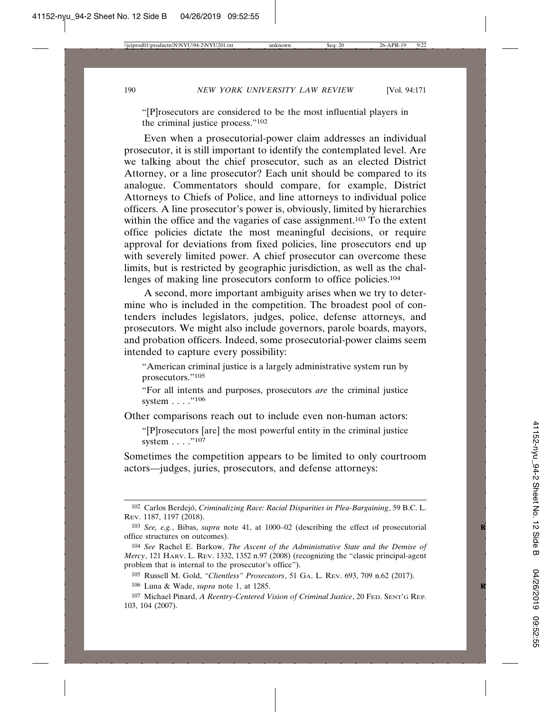"[P]rosecutors are considered to be the most influential players in the criminal justice process."102

Even when a prosecutorial-power claim addresses an individual prosecutor, it is still important to identify the contemplated level. Are we talking about the chief prosecutor, such as an elected District Attorney, or a line prosecutor? Each unit should be compared to its analogue. Commentators should compare, for example, District Attorneys to Chiefs of Police, and line attorneys to individual police officers. A line prosecutor's power is, obviously, limited by hierarchies within the office and the vagaries of case assignment.<sup>103</sup> To the extent office policies dictate the most meaningful decisions, or require approval for deviations from fixed policies, line prosecutors end up with severely limited power. A chief prosecutor can overcome these limits, but is restricted by geographic jurisdiction, as well as the challenges of making line prosecutors conform to office policies.104

A second, more important ambiguity arises when we try to determine who is included in the competition. The broadest pool of contenders includes legislators, judges, police, defense attorneys, and prosecutors. We might also include governors, parole boards, mayors, and probation officers. Indeed, some prosecutorial-power claims seem intended to capture every possibility:

"American criminal justice is a largely administrative system run by prosecutors."105

"For all intents and purposes, prosecutors *are* the criminal justice system . . . . "106

Other comparisons reach out to include even non-human actors:

"[P]rosecutors [are] the most powerful entity in the criminal justice system . . . . "107

Sometimes the competition appears to be limited to only courtroom actors—judges, juries, prosecutors, and defense attorneys:

<sup>&</sup>lt;sup>102</sup> Carlos Berdejó, *Criminalizing Race: Racial Disparities in Plea-Bargaining*, 59 B.C. L. REV. 1187, 1197 (2018).

<sup>103</sup> *See, e.g.*, Bibas, *supra* note 41, at 1000–02 (describing the effect of prosecutorial **R** office structures on outcomes).

<sup>104</sup> *See* Rachel E. Barkow, *The Ascent of the Administrative State and the Demise of Mercy*, 121 HARV. L. REV. 1332, 1352 n.97 (2008) (recognizing the "classic principal-agent problem that is internal to the prosecutor's office").

<sup>105</sup> Russell M. Gold, *"Clientless" Prosecutors*, 51 GA. L. REV. 693, 709 n.62 (2017).

<sup>106</sup> Luna & Wade, *supra* note 1, at 1285. **R**

<sup>107</sup> Michael Pinard, *A Reentry-Centered Vision of Criminal Justice*, 20 FED. SENT'G REP. 103, 104 (2007).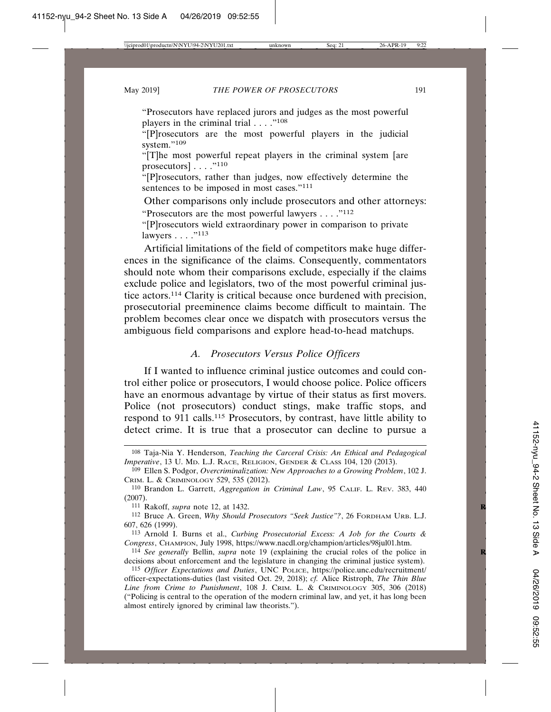"Prosecutors have replaced jurors and judges as the most powerful players in the criminal trial  $\ldots$ ."<sup>108</sup>

"[P]rosecutors are the most powerful players in the judicial system."<sup>109</sup>

"[T]he most powerful repeat players in the criminal system [are prosecutors $\left[\ldots\right]$ .  $\left[$ . . . .<sup>7110</sup>

"[P]rosecutors, rather than judges, now effectively determine the sentences to be imposed in most cases."<sup>111</sup>

Other comparisons only include prosecutors and other attorneys:

"Prosecutors are the most powerful lawyers  $\dots$ ."<sup>112</sup>

"[P]rosecutors wield extraordinary power in comparison to private lawyers . . . . "<sup>113</sup>

Artificial limitations of the field of competitors make huge differences in the significance of the claims. Consequently, commentators should note whom their comparisons exclude, especially if the claims exclude police and legislators, two of the most powerful criminal justice actors.114 Clarity is critical because once burdened with precision, prosecutorial preeminence claims become difficult to maintain. The problem becomes clear once we dispatch with prosecutors versus the ambiguous field comparisons and explore head-to-head matchups.

# *A. Prosecutors Versus Police Officers*

If I wanted to influence criminal justice outcomes and could control either police or prosecutors, I would choose police. Police officers have an enormous advantage by virtue of their status as first movers. Police (not prosecutors) conduct stings, make traffic stops, and respond to 911 calls.115 Prosecutors, by contrast, have little ability to detect crime. It is true that a prosecutor can decline to pursue a

111 Rakoff, *supra* note 12, at 1432. **R**

112 Bruce A. Green, *Why Should Prosecutors "Seek Justice"?*, 26 FORDHAM URB. L.J. 607, 626 (1999).

113 Arnold I. Burns et al., *Curbing Prosecutorial Excess: A Job for the Courts & Congress*, CHAMPION, July 1998, https://www.nacdl.org/champion/articles/98jul01.htm.

<sup>108</sup> Taja-Nia Y. Henderson, *Teaching the Carceral Crisis: An Ethical and Pedagogical Imperative*, 13 U. MD. L.J. RACE, RELIGION, GENDER & CLASS 104, 120 (2013).

<sup>109</sup> Ellen S. Podgor, *Overcriminalization: New Approaches to a Growing Problem*, 102 J. CRIM. L. & CRIMINOLOGY 529, 535 (2012).

<sup>110</sup> Brandon L. Garrett, *Aggregation in Criminal Law*, 95 CALIF. L. REV. 383, 440 (2007).

<sup>114</sup> *See generally* Bellin, *supra* note 19 (explaining the crucial roles of the police in **R** decisions about enforcement and the legislature in changing the criminal justice system).

<sup>115</sup> *Officer Expectations and Duties*, UNC POLICE, https://police.unc.edu/recruitment/ officer-expectations-duties (last visited Oct. 29, 2018); *cf.* Alice Ristroph, *The Thin Blue Line from Crime to Punishment*, 108 J. CRIM. L. & CRIMINOLOGY 305, 306 (2018) ("Policing is central to the operation of the modern criminal law, and yet, it has long been almost entirely ignored by criminal law theorists.").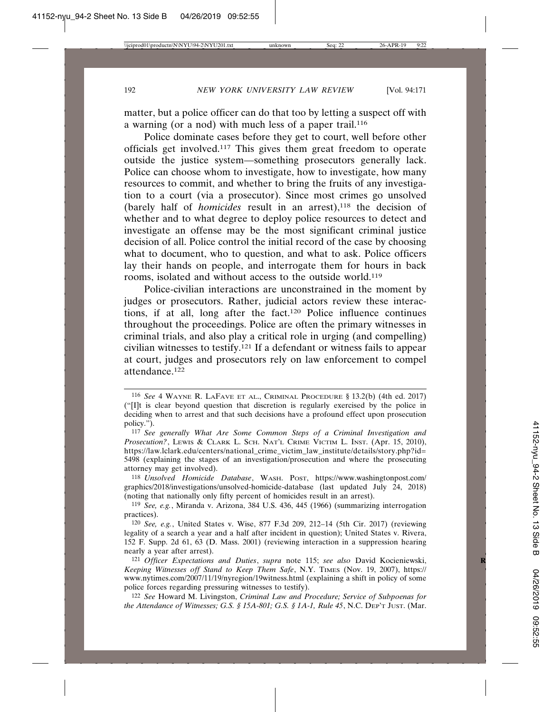matter, but a police officer can do that too by letting a suspect off with a warning (or a nod) with much less of a paper trail.116

Police dominate cases before they get to court, well before other officials get involved.117 This gives them great freedom to operate outside the justice system—something prosecutors generally lack. Police can choose whom to investigate, how to investigate, how many resources to commit, and whether to bring the fruits of any investigation to a court (via a prosecutor). Since most crimes go unsolved (barely half of *homicides* result in an arrest),<sup>118</sup> the decision of whether and to what degree to deploy police resources to detect and investigate an offense may be the most significant criminal justice decision of all. Police control the initial record of the case by choosing what to document, who to question, and what to ask. Police officers lay their hands on people, and interrogate them for hours in back rooms, isolated and without access to the outside world.119

Police-civilian interactions are unconstrained in the moment by judges or prosecutors. Rather, judicial actors review these interactions, if at all, long after the fact.120 Police influence continues throughout the proceedings. Police are often the primary witnesses in criminal trials, and also play a critical role in urging (and compelling) civilian witnesses to testify.121 If a defendant or witness fails to appear at court, judges and prosecutors rely on law enforcement to compel attendance.122

<sup>116</sup> *See* 4 WAYNE R. LAFAVE ET AL., CRIMINAL PROCEDURE § 13.2(b) (4th ed. 2017) ("[I]t is clear beyond question that discretion is regularly exercised by the police in deciding when to arrest and that such decisions have a profound effect upon prosecution policy.").

<sup>117</sup> *See generally What Are Some Common Steps of a Criminal Investigation and* Prosecution?, LEWIS & CLARK L. SCH. NAT'L CRIME VICTIM L. INST. (Apr. 15, 2010), https://law.lclark.edu/centers/national\_crime\_victim\_law\_institute/details/story.php?id= 5498 (explaining the stages of an investigation/prosecution and where the prosecuting attorney may get involved).

<sup>118</sup> *Unsolved Homicide Database*, WASH. POST, https://www.washingtonpost.com/ graphics/2018/investigations/unsolved-homicide-database (last updated July 24, 2018) (noting that nationally only fifty percent of homicides result in an arrest).

<sup>119</sup> *See, e.g.*, Miranda v. Arizona, 384 U.S. 436, 445 (1966) (summarizing interrogation practices).

<sup>120</sup> *See, e.g.*, United States v. Wise, 877 F.3d 209, 212–14 (5th Cir. 2017) (reviewing legality of a search a year and a half after incident in question); United States v. Rivera, 152 F. Supp. 2d 61, 63 (D. Mass. 2001) (reviewing interaction in a suppression hearing nearly a year after arrest).

<sup>121</sup> *Officer Expectations and Duties*, *supra* note 115; *see also* David Kocieniewski, **R** *Keeping Witnesses off Stand to Keep Them Safe*, N.Y. TIMES (Nov. 19, 2007), https:// www.nytimes.com/2007/11/19/nyregion/19witness.html (explaining a shift in policy of some police forces regarding pressuring witnesses to testify).

<sup>122</sup> *See* Howard M. Livingston, *Criminal Law and Procedure; Service of Subpoenas for the Attendance of Witnesses; G.S. § 15A-801; G.S. § 1A-1, Rule 45*, N.C. DEP'T JUST. (Mar.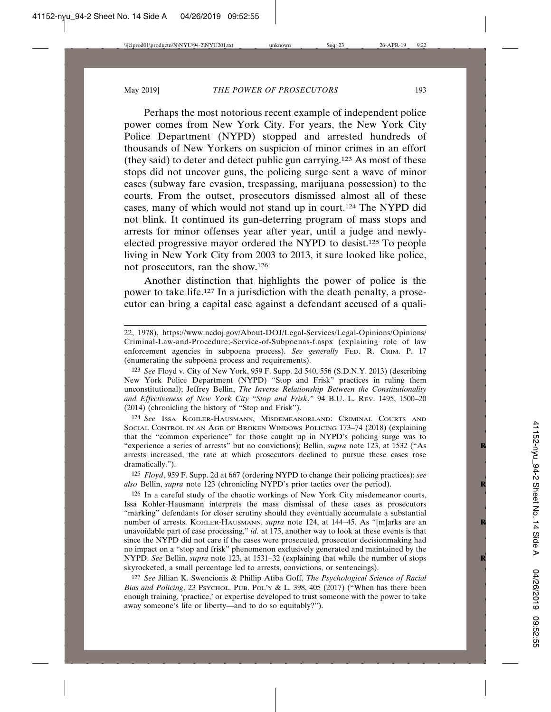Perhaps the most notorious recent example of independent police power comes from New York City. For years, the New York City Police Department (NYPD) stopped and arrested hundreds of thousands of New Yorkers on suspicion of minor crimes in an effort (they said) to deter and detect public gun carrying.123 As most of these stops did not uncover guns, the policing surge sent a wave of minor cases (subway fare evasion, trespassing, marijuana possession) to the courts. From the outset, prosecutors dismissed almost all of these cases, many of which would not stand up in court.124 The NYPD did not blink. It continued its gun-deterring program of mass stops and arrests for minor offenses year after year, until a judge and newlyelected progressive mayor ordered the NYPD to desist.125 To people living in New York City from 2003 to 2013, it sure looked like police, not prosecutors, ran the show.126

Another distinction that highlights the power of police is the power to take life.127 In a jurisdiction with the death penalty, a prosecutor can bring a capital case against a defendant accused of a quali-

125 *Floyd*, 959 F. Supp. 2d at 667 (ordering NYPD to change their policing practices); *see also* Bellin, *supra* note 123 (chronicling NYPD's prior tactics over the period). **R**

126 In a careful study of the chaotic workings of New York City misdemeanor courts, Issa Kohler-Hausmann interprets the mass dismissal of these cases as prosecutors "marking" defendants for closer scrutiny should they eventually accumulate a substantial number of arrests. KOHLER-HAUSMANN, *supra* note 124, at 144-45. As "[m]arks are an unavoidable part of case processing," *id.* at 175, another way to look at these events is that since the NYPD did not care if the cases were prosecuted, prosecutor decisionmaking had no impact on a "stop and frisk" phenomenon exclusively generated and maintained by the NYPD. *See* Bellin, *supra* note 123, at 1531–32 (explaining that while the number of stops **R** skyrocketed, a small percentage led to arrests, convictions, or sentencings).

127 *See* Jillian K. Swencionis & Phillip Atiba Goff, *The Psychological Science of Racial Bias and Policing*, 23 PSYCHOL. PUB. POL'Y & L. 398, 405 (2017) ("When has there been enough training, 'practice,' or expertise developed to trust someone with the power to take away someone's life or liberty—and to do so equitably?").

<sup>22, 1978),</sup> https://www.ncdoj.gov/About-DOJ/Legal-Services/Legal-Opinions/Opinions/ Criminal-Law-and-Procedure;-Service-of-Subpoenas-f.aspx (explaining role of law enforcement agencies in subpoena process). *See generally* FED. R. CRIM. P. 17 (enumerating the subpoena process and requirements).

<sup>123</sup> *See* Floyd v. City of New York, 959 F. Supp. 2d 540, 556 (S.D.N.Y. 2013) (describing New York Police Department (NYPD) "Stop and Frisk" practices in ruling them unconstitutional); Jeffrey Bellin, *The Inverse Relationship Between the Constitutionality and Effectiveness of New York City "Stop and Frisk*,*"* 94 B.U. L. REV. 1495, 1500–20 (2014) (chronicling the history of "Stop and Frisk").

<sup>124</sup> *See* ISSA KOHLER-HAUSMANN, MISDEMEANORLAND: CRIMINAL COURTS AND SOCIAL CONTROL IN AN AGE OF BROKEN WINDOWS POLICING 173–74 (2018) (explaining that the "common experience" for those caught up in NYPD's policing surge was to "experience a series of arrests" but no convictions); Bellin, *supra* note 123, at 1532 ("As **R** arrests increased, the rate at which prosecutors declined to pursue these cases rose dramatically.").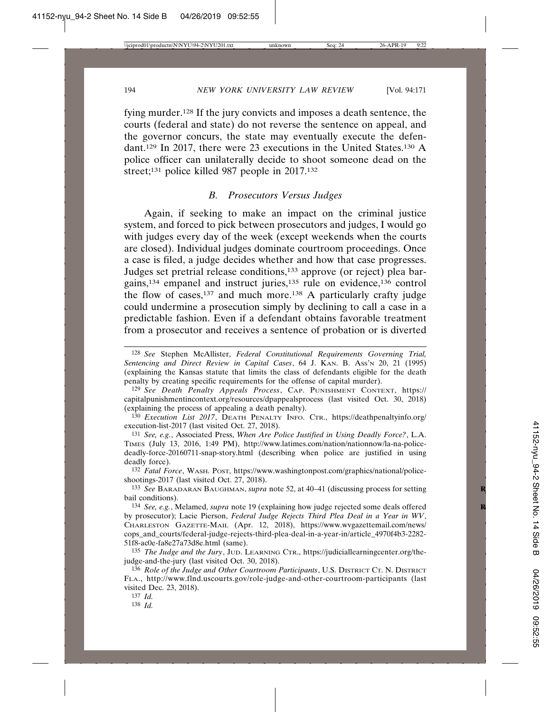fying murder.128 If the jury convicts and imposes a death sentence, the courts (federal and state) do not reverse the sentence on appeal, and the governor concurs, the state may eventually execute the defendant.129 In 2017, there were 23 executions in the United States.130 A police officer can unilaterally decide to shoot someone dead on the street;<sup>131</sup> police killed 987 people in 2017.<sup>132</sup>

# *B. Prosecutors Versus Judges*

Again, if seeking to make an impact on the criminal justice system, and forced to pick between prosecutors and judges, I would go with judges every day of the week (except weekends when the courts are closed). Individual judges dominate courtroom proceedings. Once a case is filed, a judge decides whether and how that case progresses. Judges set pretrial release conditions,133 approve (or reject) plea bargains,134 empanel and instruct juries,135 rule on evidence,136 control the flow of cases, $137$  and much more.<sup>138</sup> A particularly crafty judge could undermine a prosecution simply by declining to call a case in a predictable fashion. Even if a defendant obtains favorable treatment from a prosecutor and receives a sentence of probation or is diverted

132 *Fatal Force*, WASH. POST, https://www.washingtonpost.com/graphics/national/policeshootings-2017 (last visited Oct. 27, 2018).

133 *See* BARADARAN BAUGHMAN, *supra* note 52, at 40–41 (discussing process for setting **R** bail conditions).

134 *See, e.g.*, Melamed, *supra* note 19 (explaining how judge rejected some deals offered **R** by prosecutor); Lacie Pierson, *Federal Judge Rejects Third Plea Deal in a Year in WV*, CHARLESTON GAZETTE-MAIL (Apr. 12, 2018), https://www.wvgazettemail.com/news/ cops\_and\_courts/federal-judge-rejects-third-plea-deal-in-a-year-in/article\_4970f4b3-2282- 51f8-ac0e-fa8e27a73d8e.html (same).

135 *The Judge and the Jury*, JUD. LEARNING CTR., https://judiciallearningcenter.org/thejudge-and-the-jury (last visited Oct. 30, 2018).

136 *Role of the Judge and Other Courtroom Participants*, U.S. DISTRICT CT. N. DISTRICT FLA., http://www.flnd.uscourts.gov/role-judge-and-other-courtroom-participants (last visited Dec. 23, 2018).

137 *Id.*

138 *Id.*

<sup>128</sup> *See* Stephen McAllister, *Federal Constitutional Requirements Governing Trial, Sentencing and Direct Review in Capital Cases*, 64 J. KAN. B. ASS'N 20, 21 (1995) (explaining the Kansas statute that limits the class of defendants eligible for the death penalty by creating specific requirements for the offense of capital murder).

<sup>129</sup> *See Death Penalty Appeals Process*, CAP. PUNISHMENT CONTEXT, https:// capitalpunishmentincontext.org/resources/dpappealsprocess (last visited Oct. 30, 2018) (explaining the process of appealing a death penalty).

<sup>130</sup> *Execution List 2017*, DEATH PENALTY INFO. CTR., https://deathpenaltyinfo.org/ execution-list-2017 (last visited Oct. 27, 2018).

<sup>131</sup> *See, e.g.*, Associated Press, *When Are Police Justified in Using Deadly Force?*, L.A. TIMES (July 13, 2016, 1:49 PM), http://www.latimes.com/nation/nationnow/la-na-policedeadly-force-20160711-snap-story.html (describing when police are justified in using deadly force).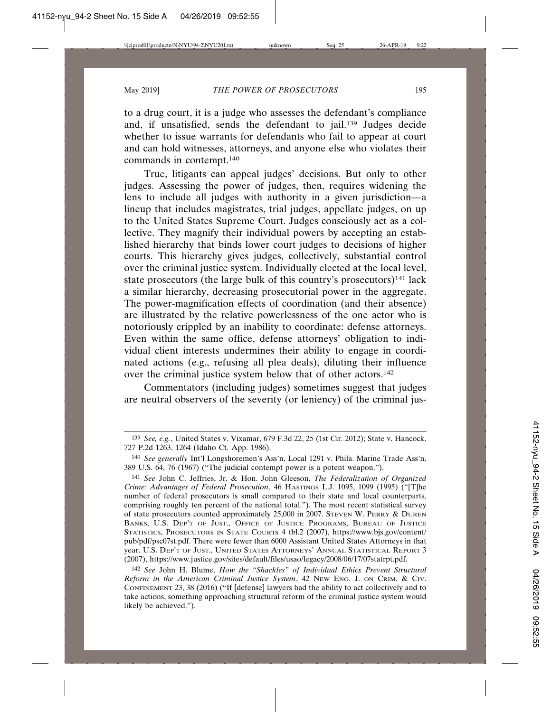to a drug court, it is a judge who assesses the defendant's compliance and, if unsatisfied, sends the defendant to jail.139 Judges decide whether to issue warrants for defendants who fail to appear at court and can hold witnesses, attorneys, and anyone else who violates their commands in contempt.140

True, litigants can appeal judges' decisions. But only to other judges. Assessing the power of judges, then, requires widening the lens to include all judges with authority in a given jurisdiction—a lineup that includes magistrates, trial judges, appellate judges, on up to the United States Supreme Court. Judges consciously act as a collective. They magnify their individual powers by accepting an established hierarchy that binds lower court judges to decisions of higher courts. This hierarchy gives judges, collectively, substantial control over the criminal justice system. Individually elected at the local level, state prosecutors (the large bulk of this country's prosecutors)<sup>141</sup> lack a similar hierarchy, decreasing prosecutorial power in the aggregate. The power-magnification effects of coordination (and their absence) are illustrated by the relative powerlessness of the one actor who is notoriously crippled by an inability to coordinate: defense attorneys. Even within the same office, defense attorneys' obligation to individual client interests undermines their ability to engage in coordinated actions (e.g., refusing all plea deals), diluting their influence over the criminal justice system below that of other actors.142

Commentators (including judges) sometimes suggest that judges are neutral observers of the severity (or leniency) of the criminal jus-

<sup>139</sup> *See, e.g.*, United States v. Vixamar, 679 F.3d 22, 25 (1st Cir. 2012); State v. Hancock, 727 P.2d 1263, 1264 (Idaho Ct. App. 1986).

<sup>140</sup> *See generally* Int'l Longshoremen's Ass'n, Local 1291 v. Phila. Marine Trade Ass'n, 389 U.S. 64, 76 (1967) ("The judicial contempt power is a potent weapon.").

<sup>141</sup> *See* John C. Jeffries, Jr. & Hon. John Gleeson, *The Federalization of Organized Crime: Advantages of Federal Prosecution*, 46 HASTINGS L.J. 1095, 1099 (1995) ("[T]he number of federal prosecutors is small compared to their state and local counterparts, comprising roughly ten percent of the national total."). The most recent statistical survey of state prosecutors counted approximately 25,000 in 2007. STEVEN W. PERRY & DUREN BANKS, U.S. DEP'T OF JUST., OFFICE OF JUSTICE PROGRAMS, BUREAU OF JUSTICE STATISTICS, PROSECUTORS IN STATE COURTS 4 tbl.2 (2007), https://www.bjs.gov/content/ pub/pdf/psc07st.pdf. There were fewer than 6000 Assistant United States Attorneys in that year. U.S. DEP'T OF JUST., UNITED STATES ATTORNEYS' ANNUAL STATISTICAL REPORT 3 (2007), https://www.justice.gov/sites/default/files/usao/legacy/2008/06/17/07statrpt.pdf.

<sup>142</sup> *See* John H. Blume, *How the "Shackles" of Individual Ethics Prevent Structural Reform in the American Criminal Justice System*, 42 NEW ENG. J. ON CRIM. & CIV. CONFINEMENT 23, 38 (2016) ("If [defense] lawyers had the ability to act collectively and to take actions, something approaching structural reform of the criminal justice system would likely be achieved.").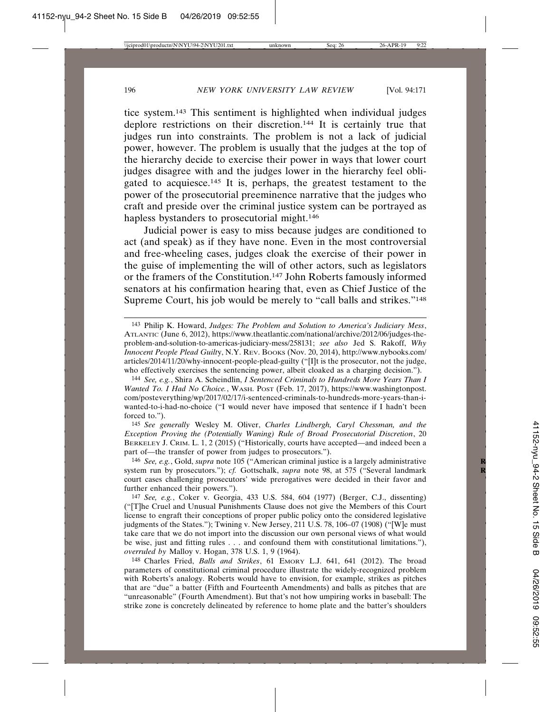tice system.143 This sentiment is highlighted when individual judges deplore restrictions on their discretion.144 It is certainly true that judges run into constraints. The problem is not a lack of judicial power, however. The problem is usually that the judges at the top of the hierarchy decide to exercise their power in ways that lower court judges disagree with and the judges lower in the hierarchy feel obligated to acquiesce.145 It is, perhaps, the greatest testament to the power of the prosecutorial preeminence narrative that the judges who craft and preside over the criminal justice system can be portrayed as hapless bystanders to prosecutorial might.<sup>146</sup>

Judicial power is easy to miss because judges are conditioned to act (and speak) as if they have none. Even in the most controversial and free-wheeling cases, judges cloak the exercise of their power in the guise of implementing the will of other actors, such as legislators or the framers of the Constitution.147 John Roberts famously informed senators at his confirmation hearing that, even as Chief Justice of the Supreme Court, his job would be merely to "call balls and strikes."148

144 *See, e.g.*, Shira A. Scheindlin, *I Sentenced Criminals to Hundreds More Years Than I Wanted To. I Had No Choice.*, WASH. POST (Feb. 17, 2017), https://www.washingtonpost. com/posteverything/wp/2017/02/17/i-sentenced-criminals-to-hundreds-more-years-than-iwanted-to-i-had-no-choice ("I would never have imposed that sentence if I hadn't been forced to.").

145 *See generally* Wesley M. Oliver, *Charles Lindbergh, Caryl Chessman, and the Exception Proving the (Potentially Waning) Rule of Broad Prosecutorial Discretion*, 20 BERKELEY J. CRIM. L. 1, 2 (2015) ("Historically, courts have accepted—and indeed been a part of—the transfer of power from judges to prosecutors.").

146 *See, e.g.*, Gold, *supra* note 105 ("American criminal justice is a largely administrative **R** system run by prosecutors."); *cf.* Gottschalk, *supra* note 98, at 575 ("Several landmark court cases challenging prosecutors' wide prerogatives were decided in their favor and further enhanced their powers.").

147 *See, e.g.*, Coker v. Georgia, 433 U.S. 584, 604 (1977) (Berger, C.J., dissenting) ("[T]he Cruel and Unusual Punishments Clause does not give the Members of this Court license to engraft their conceptions of proper public policy onto the considered legislative judgments of the States."); Twining v. New Jersey, 211 U.S. 78, 106–07 (1908) ("[W]e must take care that we do not import into the discussion our own personal views of what would be wise, just and fitting rules . . . and confound them with constitutional limitations."), *overruled by* Malloy v. Hogan, 378 U.S. 1, 9 (1964).

148 Charles Fried, *Balls and Strikes*, 61 EMORY L.J. 641, 641 (2012). The broad parameters of constitutional criminal procedure illustrate the widely-recognized problem with Roberts's analogy. Roberts would have to envision, for example, strikes as pitches that are "due" a batter (Fifth and Fourteenth Amendments) and balls as pitches that are "unreasonable" (Fourth Amendment). But that's not how umpiring works in baseball: The strike zone is concretely delineated by reference to home plate and the batter's shoulders

<sup>143</sup> Philip K. Howard, *Judges: The Problem and Solution to America's Judiciary Mess*, ATLANTIC (June 6, 2012), https://www.theatlantic.com/national/archive/2012/06/judges-theproblem-and-solution-to-americas-judiciary-mess/258131; *see also* Jed S. Rakoff, *Why Innocent People Plead Guilt*y, N.Y. REV. BOOKS (Nov. 20, 2014), http://www.nybooks.com/ articles/2014/11/20/why-innocent-people-plead-guilty ("[I]t is the prosecutor, not the judge, who effectively exercises the sentencing power, albeit cloaked as a charging decision.").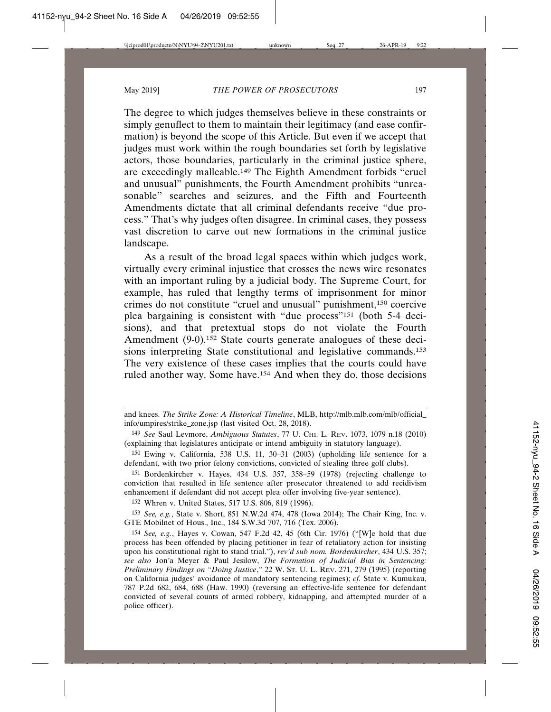The degree to which judges themselves believe in these constraints or simply genuflect to them to maintain their legitimacy (and ease confirmation) is beyond the scope of this Article. But even if we accept that judges must work within the rough boundaries set forth by legislative actors, those boundaries, particularly in the criminal justice sphere, are exceedingly malleable.149 The Eighth Amendment forbids "cruel and unusual" punishments, the Fourth Amendment prohibits "unreasonable" searches and seizures, and the Fifth and Fourteenth Amendments dictate that all criminal defendants receive "due process." That's why judges often disagree. In criminal cases, they possess vast discretion to carve out new formations in the criminal justice landscape.

As a result of the broad legal spaces within which judges work, virtually every criminal injustice that crosses the news wire resonates with an important ruling by a judicial body. The Supreme Court, for example, has ruled that lengthy terms of imprisonment for minor crimes do not constitute "cruel and unusual" punishment,150 coercive plea bargaining is consistent with "due process"151 (both 5-4 decisions), and that pretextual stops do not violate the Fourth Amendment (9-0).<sup>152</sup> State courts generate analogues of these decisions interpreting State constitutional and legislative commands.153 The very existence of these cases implies that the courts could have ruled another way. Some have.154 And when they do, those decisions

152 Whren v. United States, 517 U.S. 806, 819 (1996).

153 *See, e.g.*, State v. Short, 851 N.W.2d 474, 478 (Iowa 2014); The Chair King, Inc. v. GTE Mobilnet of Hous., Inc., 184 S.W.3d 707, 716 (Tex. 2006).

and knees. *The Strike Zone: A Historical Timeline*, MLB, http://mlb.mlb.com/mlb/official\_ info/umpires/strike\_zone.jsp (last visited Oct. 28, 2018).

<sup>149</sup> *See* Saul Levmore, *Ambiguous Statutes*, 77 U. CHI. L. REV. 1073, 1079 n.18 (2010) (explaining that legislatures anticipate or intend ambiguity in statutory language).

<sup>150</sup> Ewing v. California, 538 U.S. 11, 30–31 (2003) (upholding life sentence for a defendant, with two prior felony convictions, convicted of stealing three golf clubs).

<sup>151</sup> Bordenkircher v. Hayes, 434 U.S. 357, 358–59 (1978) (rejecting challenge to conviction that resulted in life sentence after prosecutor threatened to add recidivism enhancement if defendant did not accept plea offer involving five-year sentence).

<sup>154</sup> *See, e.g.*, Hayes v. Cowan, 547 F.2d 42, 45 (6th Cir. 1976) ("[W]e hold that due process has been offended by placing petitioner in fear of retaliatory action for insisting upon his constitutional right to stand trial."), *rev'd sub nom. Bordenkircher*, 434 U.S. 357; *see also* Jon'a Meyer & Paul Jesilow, *The Formation of Judicial Bias in Sentencing: Preliminary Findings on "Doing Justice*," 22 W. ST. U. L. REV. 271, 279 (1995) (reporting on California judges' avoidance of mandatory sentencing regimes); *cf.* State v. Kumukau, 787 P.2d 682, 684, 688 (Haw. 1990) (reversing an effective-life sentence for defendant convicted of several counts of armed robbery, kidnapping, and attempted murder of a police officer).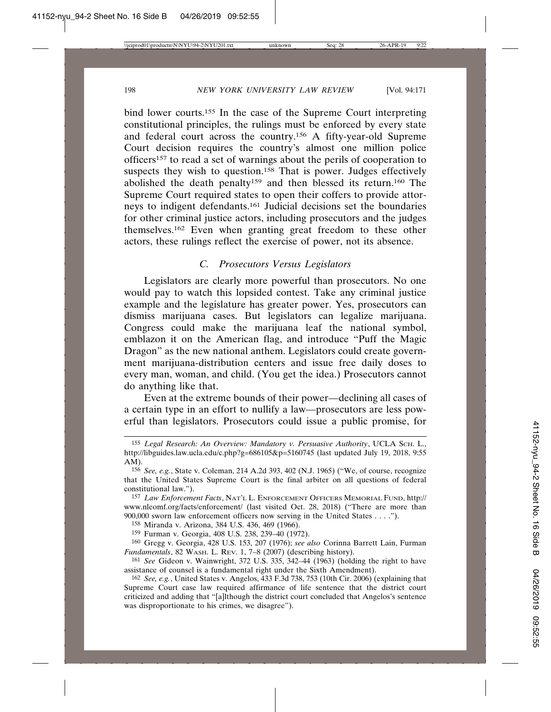bind lower courts.155 In the case of the Supreme Court interpreting constitutional principles, the rulings must be enforced by every state and federal court across the country.156 A fifty-year-old Supreme Court decision requires the country's almost one million police officers157 to read a set of warnings about the perils of cooperation to suspects they wish to question.<sup>158</sup> That is power. Judges effectively abolished the death penalty159 and then blessed its return.160 The Supreme Court required states to open their coffers to provide attorneys to indigent defendants.161 Judicial decisions set the boundaries for other criminal justice actors, including prosecutors and the judges themselves.162 Even when granting great freedom to these other actors, these rulings reflect the exercise of power, not its absence.

# *C. Prosecutors Versus Legislators*

Legislators are clearly more powerful than prosecutors. No one would pay to watch this lopsided contest. Take any criminal justice example and the legislature has greater power. Yes, prosecutors can dismiss marijuana cases. But legislators can legalize marijuana. Congress could make the marijuana leaf the national symbol, emblazon it on the American flag, and introduce "Puff the Magic Dragon" as the new national anthem. Legislators could create government marijuana-distribution centers and issue free daily doses to every man, woman, and child. (You get the idea.) Prosecutors cannot do anything like that.

Even at the extreme bounds of their power—declining all cases of a certain type in an effort to nullify a law—prosecutors are less powerful than legislators. Prosecutors could issue a public promise, for

<sup>155</sup> *Legal Research: An Overview: Mandatory v. Persuasive Authority*, UCLA SCH. L., http://libguides.law.ucla.edu/c.php?g=686105&p=5160745 (last updated July 19, 2018, 9:55 AM).

<sup>156</sup> *See, e.g.*, State v. Coleman, 214 A.2d 393, 402 (N.J. 1965) ("We, of course, recognize that the United States Supreme Court is the final arbiter on all questions of federal constitutional law.").

<sup>157</sup> *Law Enforcement Facts*, NAT'L L. ENFORCEMENT OFFICERS MEMORIAL FUND, http:// www.nleomf.org/facts/enforcement/ (last visited Oct. 28, 2018) ("There are more than 900,000 sworn law enforcement officers now serving in the United States . . . .").

<sup>158</sup> Miranda v. Arizona, 384 U.S. 436, 469 (1966).

<sup>159</sup> Furman v. Georgia, 408 U.S. 238, 239–40 (1972).

<sup>160</sup> Gregg v. Georgia, 428 U.S. 153, 207 (1976); *see also* Corinna Barrett Lain, Furman *Fundamentals*, 82 WASH. L. REV. 1, 7–8 (2007) (describing history).

<sup>161</sup> *See* Gideon v. Wainwright, 372 U.S. 335, 342–44 (1963) (holding the right to have assistance of counsel is a fundamental right under the Sixth Amendment).

<sup>162</sup> *See, e.g.*, United States v. Angelos, 433 F.3d 738, 753 (10th Cir. 2006) (explaining that Supreme Court case law required affirmance of life sentence that the district court criticized and adding that "[a]lthough the district court concluded that Angelos's sentence was disproportionate to his crimes, we disagree").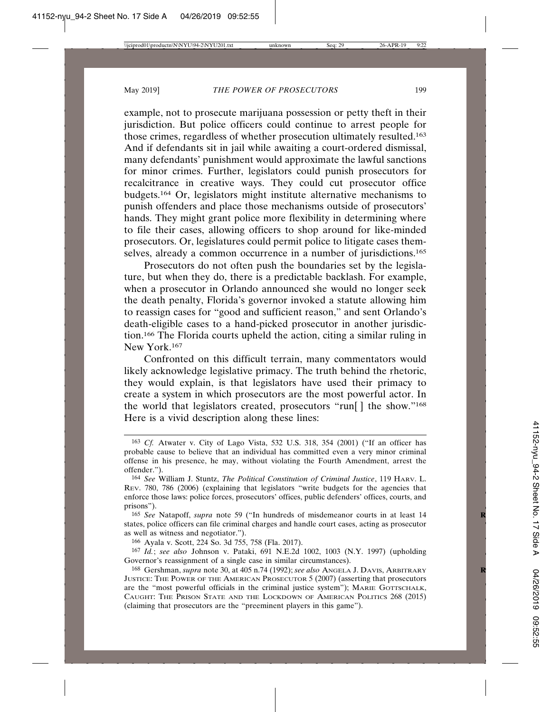example, not to prosecute marijuana possession or petty theft in their jurisdiction. But police officers could continue to arrest people for those crimes, regardless of whether prosecution ultimately resulted.163 And if defendants sit in jail while awaiting a court-ordered dismissal, many defendants' punishment would approximate the lawful sanctions for minor crimes. Further, legislators could punish prosecutors for recalcitrance in creative ways. They could cut prosecutor office budgets.164 Or, legislators might institute alternative mechanisms to punish offenders and place those mechanisms outside of prosecutors' hands. They might grant police more flexibility in determining where to file their cases, allowing officers to shop around for like-minded prosecutors. Or, legislatures could permit police to litigate cases themselves, already a common occurrence in a number of jurisdictions.<sup>165</sup>

Prosecutors do not often push the boundaries set by the legislature, but when they do, there is a predictable backlash. For example, when a prosecutor in Orlando announced she would no longer seek the death penalty, Florida's governor invoked a statute allowing him to reassign cases for "good and sufficient reason," and sent Orlando's death-eligible cases to a hand-picked prosecutor in another jurisdiction.166 The Florida courts upheld the action, citing a similar ruling in New York.167

Confronted on this difficult terrain, many commentators would likely acknowledge legislative primacy. The truth behind the rhetoric, they would explain, is that legislators have used their primacy to create a system in which prosecutors are the most powerful actor. In the world that legislators created, prosecutors "run[ ] the show."168 Here is a vivid description along these lines:

<sup>163</sup> *Cf.* Atwater v. City of Lago Vista, 532 U.S. 318, 354 (2001) ("If an officer has probable cause to believe that an individual has committed even a very minor criminal offense in his presence, he may, without violating the Fourth Amendment, arrest the offender.").

<sup>164</sup> *See* William J. Stuntz, *The Political Constitution of Criminal Justice*, 119 HARV. L. REV. 780, 786 (2006) (explaining that legislators "write budgets for the agencies that enforce those laws: police forces, prosecutors' offices, public defenders' offices, courts, and prisons").

<sup>165</sup> *See* Natapoff, *supra* note 59 ("In hundreds of misdemeanor courts in at least 14 **R** states, police officers can file criminal charges and handle court cases, acting as prosecutor as well as witness and negotiator.").

<sup>166</sup> Ayala v. Scott, 224 So. 3d 755, 758 (Fla. 2017).

<sup>167</sup> *Id.*; *see also* Johnson v. Pataki, 691 N.E.2d 1002, 1003 (N.Y. 1997) (upholding Governor's reassignment of a single case in similar circumstances).

<sup>168</sup> Gershman, *supra* note 30, at 405 n.74 (1992); *see also* ANGELA J. DAVIS, ARBITRARY **R** JUSTICE: THE POWER OF THE AMERICAN PROSECUTOR 5 (2007) (asserting that prosecutors are the "most powerful officials in the criminal justice system"); MARIE GOTTSCHALK, CAUGHT: THE PRISON STATE AND THE LOCKDOWN OF AMERICAN POLITICS 268 (2015) (claiming that prosecutors are the "preeminent players in this game").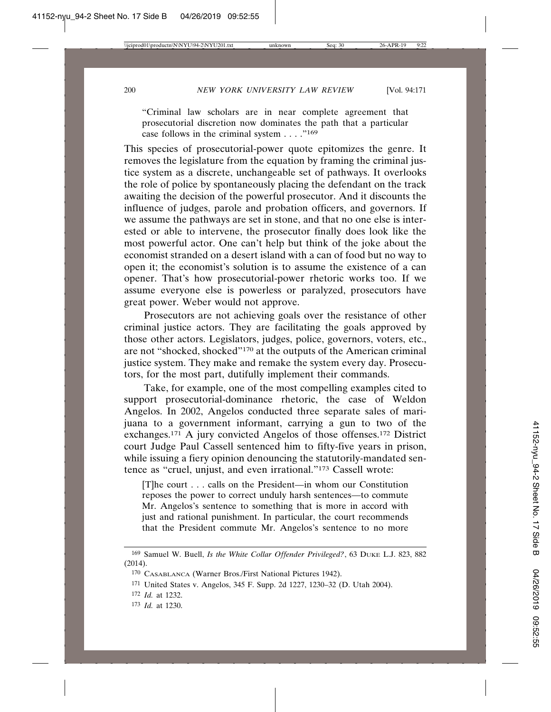"Criminal law scholars are in near complete agreement that prosecutorial discretion now dominates the path that a particular case follows in the criminal system  $\dots$ ."<sup>169</sup>

This species of prosecutorial-power quote epitomizes the genre. It removes the legislature from the equation by framing the criminal justice system as a discrete, unchangeable set of pathways. It overlooks the role of police by spontaneously placing the defendant on the track awaiting the decision of the powerful prosecutor. And it discounts the influence of judges, parole and probation officers, and governors. If we assume the pathways are set in stone, and that no one else is interested or able to intervene, the prosecutor finally does look like the most powerful actor. One can't help but think of the joke about the economist stranded on a desert island with a can of food but no way to open it; the economist's solution is to assume the existence of a can opener. That's how prosecutorial-power rhetoric works too. If we assume everyone else is powerless or paralyzed, prosecutors have great power. Weber would not approve.

Prosecutors are not achieving goals over the resistance of other criminal justice actors. They are facilitating the goals approved by those other actors. Legislators, judges, police, governors, voters, etc., are not "shocked, shocked"170 at the outputs of the American criminal justice system. They make and remake the system every day. Prosecutors, for the most part, dutifully implement their commands.

Take, for example, one of the most compelling examples cited to support prosecutorial-dominance rhetoric, the case of Weldon Angelos. In 2002, Angelos conducted three separate sales of marijuana to a government informant, carrying a gun to two of the exchanges.171 A jury convicted Angelos of those offenses.172 District court Judge Paul Cassell sentenced him to fifty-five years in prison, while issuing a fiery opinion denouncing the statutorily-mandated sentence as "cruel, unjust, and even irrational."173 Cassell wrote:

[T]he court . . . calls on the President—in whom our Constitution reposes the power to correct unduly harsh sentences—to commute Mr. Angelos's sentence to something that is more in accord with just and rational punishment. In particular, the court recommends that the President commute Mr. Angelos's sentence to no more

- 172 *Id.* at 1232.
- 173 *Id.* at 1230.

<sup>169</sup> Samuel W. Buell, *Is the White Collar Offender Privileged?*, 63 DUKE L.J. 823, 882 (2014).

<sup>170</sup> CASABLANCA (Warner Bros./First National Pictures 1942).

<sup>171</sup> United States v. Angelos, 345 F. Supp. 2d 1227, 1230–32 (D. Utah 2004).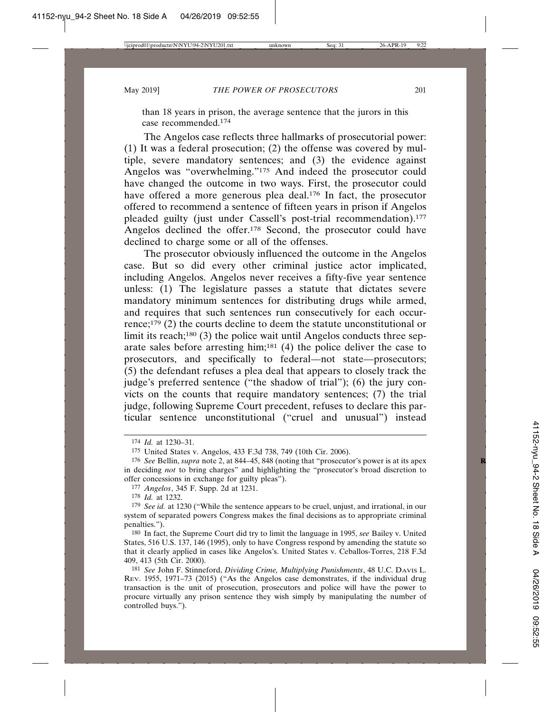than 18 years in prison, the average sentence that the jurors in this case recommended.174

The Angelos case reflects three hallmarks of prosecutorial power: (1) It was a federal prosecution; (2) the offense was covered by multiple, severe mandatory sentences; and (3) the evidence against Angelos was "overwhelming."175 And indeed the prosecutor could have changed the outcome in two ways. First, the prosecutor could have offered a more generous plea deal.<sup>176</sup> In fact, the prosecutor offered to recommend a sentence of fifteen years in prison if Angelos pleaded guilty (just under Cassell's post-trial recommendation).<sup>177</sup> Angelos declined the offer.178 Second, the prosecutor could have declined to charge some or all of the offenses.

The prosecutor obviously influenced the outcome in the Angelos case. But so did every other criminal justice actor implicated, including Angelos. Angelos never receives a fifty-five year sentence unless: (1) The legislature passes a statute that dictates severe mandatory minimum sentences for distributing drugs while armed, and requires that such sentences run consecutively for each occurrence;179 (2) the courts decline to deem the statute unconstitutional or limit its reach;<sup>180</sup> (3) the police wait until Angelos conducts three separate sales before arresting him;181 (4) the police deliver the case to prosecutors, and specifically to federal—not state—prosecutors; (5) the defendant refuses a plea deal that appears to closely track the judge's preferred sentence ("the shadow of trial"); (6) the jury convicts on the counts that require mandatory sentences; (7) the trial judge, following Supreme Court precedent, refuses to declare this particular sentence unconstitutional ("cruel and unusual") instead

<sup>174</sup> *Id.* at 1230–31.

<sup>175</sup> United States v. Angelos, 433 F.3d 738, 749 (10th Cir. 2006).

<sup>176</sup> *See* Bellin, *supra* note 2, at 844–45, 848 (noting that "prosecutor's power is at its apex **R** in deciding *not* to bring charges" and highlighting the "prosecutor's broad discretion to offer concessions in exchange for guilty pleas").

<sup>177</sup> *Angelos*, 345 F. Supp. 2d at 1231.

<sup>178</sup> *Id.* at 1232.

<sup>179</sup> *See id.* at 1230 ("While the sentence appears to be cruel, unjust, and irrational, in our system of separated powers Congress makes the final decisions as to appropriate criminal penalties.").

<sup>180</sup> In fact, the Supreme Court did try to limit the language in 1995, *see* Bailey v. United States, 516 U.S. 137, 146 (1995), only to have Congress respond by amending the statute so that it clearly applied in cases like Angelos's. United States v. Ceballos-Torres, 218 F.3d 409, 413 (5th Cir. 2000).

<sup>181</sup> *See* John F. Stinneford, *Dividing Crime, Multiplying Punishments*, 48 U.C. DAVIS L. REV. 1955, 1971–73 (2015) ("As the Angelos case demonstrates, if the individual drug transaction is the unit of prosecution, prosecutors and police will have the power to procure virtually any prison sentence they wish simply by manipulating the number of controlled buys.").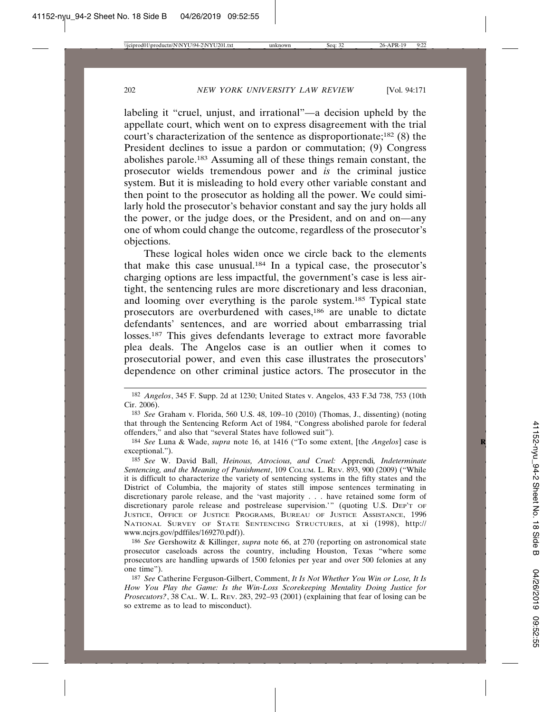labeling it "cruel, unjust, and irrational"—a decision upheld by the appellate court, which went on to express disagreement with the trial court's characterization of the sentence as disproportionate;182 (8) the President declines to issue a pardon or commutation; (9) Congress abolishes parole.183 Assuming all of these things remain constant, the prosecutor wields tremendous power and *is* the criminal justice system. But it is misleading to hold every other variable constant and then point to the prosecutor as holding all the power. We could similarly hold the prosecutor's behavior constant and say the jury holds all the power, or the judge does, or the President, and on and on—any one of whom could change the outcome, regardless of the prosecutor's objections.

These logical holes widen once we circle back to the elements that make this case unusual.184 In a typical case, the prosecutor's charging options are less impactful, the government's case is less airtight, the sentencing rules are more discretionary and less draconian, and looming over everything is the parole system.185 Typical state prosecutors are overburdened with cases,186 are unable to dictate defendants' sentences, and are worried about embarrassing trial losses.<sup>187</sup> This gives defendants leverage to extract more favorable plea deals. The Angelos case is an outlier when it comes to prosecutorial power, and even this case illustrates the prosecutors' dependence on other criminal justice actors. The prosecutor in the

<sup>182</sup> *Angelos*, 345 F. Supp. 2d at 1230; United States v. Angelos, 433 F.3d 738, 753 (10th Cir. 2006).

<sup>183</sup> *See* Graham v. Florida, 560 U.S. 48, 109–10 (2010) (Thomas, J., dissenting) (noting that through the Sentencing Reform Act of 1984, "Congress abolished parole for federal offenders," and also that "several States have followed suit").

<sup>184</sup> *See* Luna & Wade, *supra* note 16, at 1416 ("To some extent, [the *Angelos*] case is **R** exceptional.").

<sup>185</sup> *See* W. David Ball, *Heinous, Atrocious, and Cruel:* Apprendi*, Indeterminate Sentencing, and the Meaning of Punishment*, 109 COLUM. L. REV. 893, 900 (2009) ("While it is difficult to characterize the variety of sentencing systems in the fifty states and the District of Columbia, the majority of states still impose sentences terminating in discretionary parole release, and the 'vast majority . . . have retained some form of discretionary parole release and postrelease supervision.'" (quoting U.S. DEP'T OF JUSTICE, OFFICE OF JUSTICE PROGRAMS, BUREAU OF JUSTICE ASSISTANCE, 1996 NATIONAL SURVEY OF STATE SENTENCING STRUCTURES, at xi (1998), http:// www.ncjrs.gov/pdffiles/169270.pdf)).

<sup>186</sup> *See* Gershowitz & Killinger, *supra* note 66, at 270 (reporting on astronomical state prosecutor caseloads across the country, including Houston, Texas "where some prosecutors are handling upwards of 1500 felonies per year and over 500 felonies at any one time").

<sup>187</sup> *See* Catherine Ferguson-Gilbert, Comment, *It Is Not Whether You Win or Lose, It Is How You Play the Game: Is the Win-Loss Scorekeeping Mentality Doing Justice for Prosecutors?*, 38 CAL. W. L. REV. 283, 292–93 (2001) (explaining that fear of losing can be so extreme as to lead to misconduct).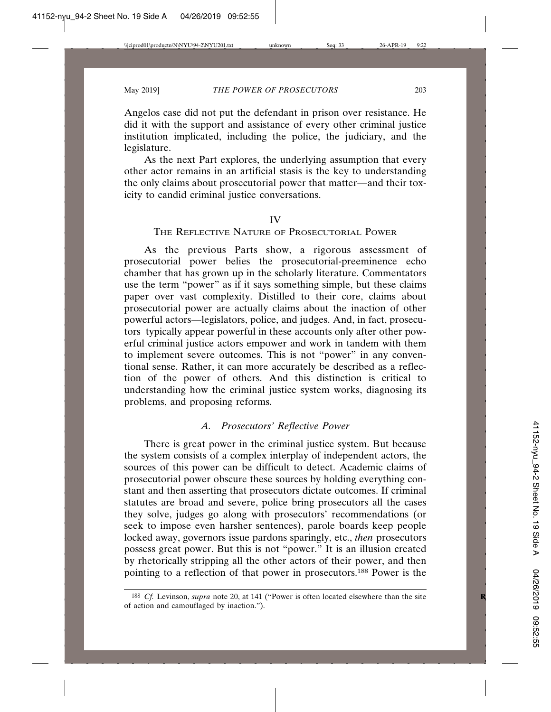Angelos case did not put the defendant in prison over resistance. He did it with the support and assistance of every other criminal justice institution implicated, including the police, the judiciary, and the legislature.

As the next Part explores, the underlying assumption that every other actor remains in an artificial stasis is the key to understanding the only claims about prosecutorial power that matter—and their toxicity to candid criminal justice conversations.

#### IV

# THE REFLECTIVE NATURE OF PROSECUTORIAL POWER

As the previous Parts show, a rigorous assessment of prosecutorial power belies the prosecutorial-preeminence echo chamber that has grown up in the scholarly literature. Commentators use the term "power" as if it says something simple, but these claims paper over vast complexity. Distilled to their core, claims about prosecutorial power are actually claims about the inaction of other powerful actors—legislators, police, and judges. And, in fact, prosecutors typically appear powerful in these accounts only after other powerful criminal justice actors empower and work in tandem with them to implement severe outcomes. This is not "power" in any conventional sense. Rather, it can more accurately be described as a reflection of the power of others. And this distinction is critical to understanding how the criminal justice system works, diagnosing its problems, and proposing reforms.

# *A. Prosecutors' Reflective Power*

There is great power in the criminal justice system. But because the system consists of a complex interplay of independent actors, the sources of this power can be difficult to detect. Academic claims of prosecutorial power obscure these sources by holding everything constant and then asserting that prosecutors dictate outcomes. If criminal statutes are broad and severe, police bring prosecutors all the cases they solve, judges go along with prosecutors' recommendations (or seek to impose even harsher sentences), parole boards keep people locked away, governors issue pardons sparingly, etc., *then* prosecutors possess great power. But this is not "power." It is an illusion created by rhetorically stripping all the other actors of their power, and then pointing to a reflection of that power in prosecutors.188 Power is the

<sup>&</sup>lt;sup>188</sup> *Cf.* Levinson, *supra* note 20, at 141 ("Power is often located elsewhere than the site of action and camouflaged by inaction.").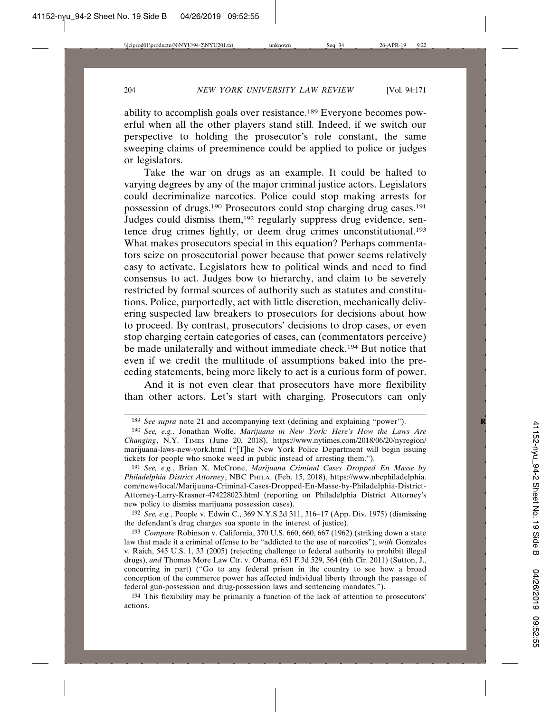ability to accomplish goals over resistance.189 Everyone becomes powerful when all the other players stand still. Indeed, if we switch our perspective to holding the prosecutor's role constant, the same sweeping claims of preeminence could be applied to police or judges or legislators.

Take the war on drugs as an example. It could be halted to varying degrees by any of the major criminal justice actors. Legislators could decriminalize narcotics. Police could stop making arrests for possession of drugs.190 Prosecutors could stop charging drug cases.191 Judges could dismiss them,192 regularly suppress drug evidence, sentence drug crimes lightly, or deem drug crimes unconstitutional.193 What makes prosecutors special in this equation? Perhaps commentators seize on prosecutorial power because that power seems relatively easy to activate. Legislators hew to political winds and need to find consensus to act. Judges bow to hierarchy, and claim to be severely restricted by formal sources of authority such as statutes and constitutions. Police, purportedly, act with little discretion, mechanically delivering suspected law breakers to prosecutors for decisions about how to proceed. By contrast, prosecutors' decisions to drop cases, or even stop charging certain categories of cases, can (commentators perceive) be made unilaterally and without immediate check.<sup>194</sup> But notice that even if we credit the multitude of assumptions baked into the preceding statements, being more likely to act is a curious form of power.

And it is not even clear that prosecutors have more flexibility than other actors. Let's start with charging. Prosecutors can only

192 *See, e.g.*, People v. Edwin C., 369 N.Y.S.2d 311, 316–17 (App. Div. 1975) (dismissing the defendant's drug charges sua sponte in the interest of justice).

<sup>&</sup>lt;sup>189</sup> *See supra* note 21 and accompanying text (defining and explaining "power").

<sup>190</sup> *See, e.g.*, Jonathan Wolfe, *Marijuana in New York: Here's How the Laws Are Changing*, N.Y. TIMES (June 20, 2018), https://www.nytimes.com/2018/06/20/nyregion/ marijuana-laws-new-york.html ("[T]he New York Police Department will begin issuing tickets for people who smoke weed in public instead of arresting them.").

<sup>191</sup> *See, e.g.*, Brian X. McCrone, *Marijuana Criminal Cases Dropped En Masse by Philadelphia District Attorney*, NBC PHILA. (Feb. 15, 2018), https://www.nbcphiladelphia. com/news/local/Marijuana-Criminal-Cases-Dropped-En-Masse-by-Philadelphia-District-Attorney-Larry-Krasner-474228023.html (reporting on Philadelphia District Attorney's new policy to dismiss marijuana possession cases).

<sup>193</sup> *Compare* Robinson v. California, 370 U.S. 660, 660, 667 (1962) (striking down a state law that made it a criminal offense to be "addicted to the use of narcotics"), *with* Gonzales v. Raich, 545 U.S. 1, 33 (2005) (rejecting challenge to federal authority to prohibit illegal drugs), *and* Thomas More Law Ctr. v. Obama, 651 F.3d 529, 564 (6th Cir. 2011) (Sutton, J., concurring in part) ("Go to any federal prison in the country to see how a broad conception of the commerce power has affected individual liberty through the passage of federal gun-possession and drug-possession laws and sentencing mandates.").

<sup>194</sup> This flexibility may be primarily a function of the lack of attention to prosecutors' actions.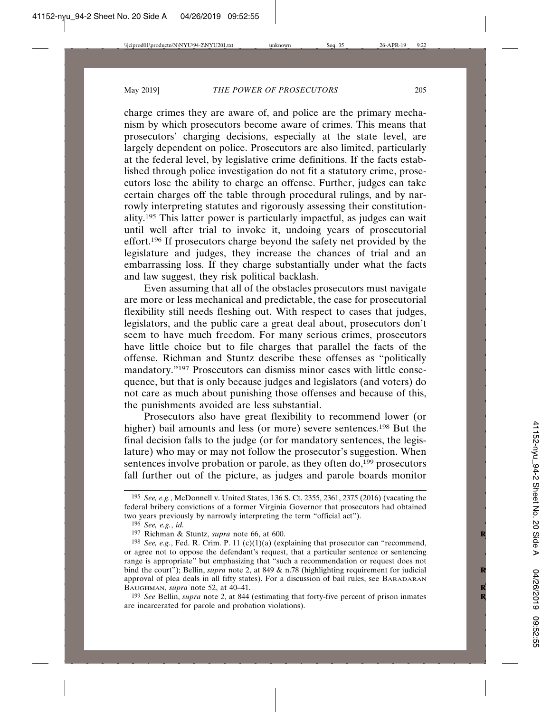charge crimes they are aware of, and police are the primary mechanism by which prosecutors become aware of crimes. This means that prosecutors' charging decisions, especially at the state level, are largely dependent on police. Prosecutors are also limited, particularly at the federal level, by legislative crime definitions. If the facts established through police investigation do not fit a statutory crime, prosecutors lose the ability to charge an offense. Further, judges can take certain charges off the table through procedural rulings, and by narrowly interpreting statutes and rigorously assessing their constitutionality.195 This latter power is particularly impactful, as judges can wait until well after trial to invoke it, undoing years of prosecutorial effort.196 If prosecutors charge beyond the safety net provided by the legislature and judges, they increase the chances of trial and an embarrassing loss. If they charge substantially under what the facts and law suggest, they risk political backlash.

Even assuming that all of the obstacles prosecutors must navigate are more or less mechanical and predictable, the case for prosecutorial flexibility still needs fleshing out. With respect to cases that judges, legislators, and the public care a great deal about, prosecutors don't seem to have much freedom. For many serious crimes, prosecutors have little choice but to file charges that parallel the facts of the offense. Richman and Stuntz describe these offenses as "politically mandatory."197 Prosecutors can dismiss minor cases with little consequence, but that is only because judges and legislators (and voters) do not care as much about punishing those offenses and because of this, the punishments avoided are less substantial.

Prosecutors also have great flexibility to recommend lower (or higher) bail amounts and less (or more) severe sentences.198 But the final decision falls to the judge (or for mandatory sentences, the legislature) who may or may not follow the prosecutor's suggestion. When sentences involve probation or parole, as they often do,<sup>199</sup> prosecutors fall further out of the picture, as judges and parole boards monitor

199 *See* Bellin, *supra* note 2, at 844 (estimating that forty-five percent of prison inmates **R** are incarcerated for parole and probation violations).

<sup>195</sup> *See, e.g.*, McDonnell v. United States, 136 S. Ct. 2355, 2361, 2375 (2016) (vacating the federal bribery convictions of a former Virginia Governor that prosecutors had obtained two years previously by narrowly interpreting the term "official act").

<sup>196</sup> *See, e.g.*, *id.*

<sup>197</sup> Richman & Stuntz, *supra* note 66, at 600. **R**

<sup>198</sup> *See, e.g.*, Fed. R. Crim. P. 11 (c)(1)(a) (explaining that prosecutor can "recommend, or agree not to oppose the defendant's request, that a particular sentence or sentencing range is appropriate" but emphasizing that "such a recommendation or request does not bind the court"); Bellin, *supra* note 2, at 849 & n.78 (highlighting requirement for judicial approval of plea deals in all fifty states). For a discussion of bail rules, see BARADARAN BAUGHMAN, *supra* note 52, at 40–41. **R**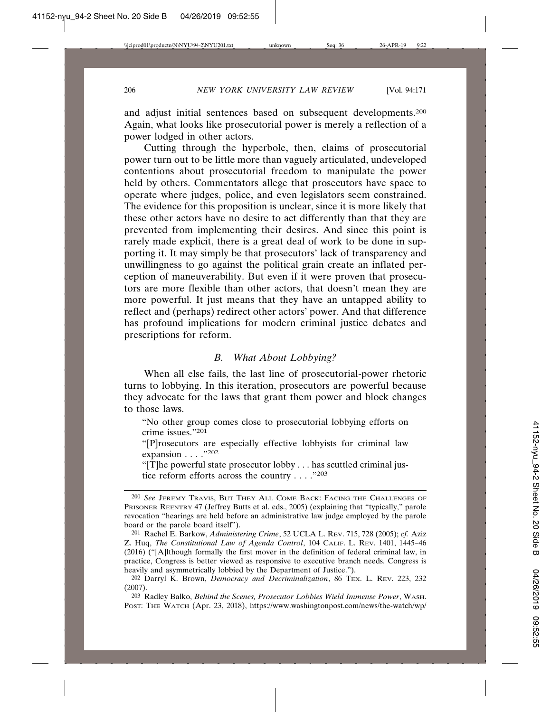and adjust initial sentences based on subsequent developments.200 Again, what looks like prosecutorial power is merely a reflection of a power lodged in other actors.

Cutting through the hyperbole, then, claims of prosecutorial power turn out to be little more than vaguely articulated, undeveloped contentions about prosecutorial freedom to manipulate the power held by others. Commentators allege that prosecutors have space to operate where judges, police, and even legislators seem constrained. The evidence for this proposition is unclear, since it is more likely that these other actors have no desire to act differently than that they are prevented from implementing their desires. And since this point is rarely made explicit, there is a great deal of work to be done in supporting it. It may simply be that prosecutors' lack of transparency and unwillingness to go against the political grain create an inflated perception of maneuverability. But even if it were proven that prosecutors are more flexible than other actors, that doesn't mean they are more powerful. It just means that they have an untapped ability to reflect and (perhaps) redirect other actors' power. And that difference has profound implications for modern criminal justice debates and prescriptions for reform.

# *B. What About Lobbying?*

When all else fails, the last line of prosecutorial-power rhetoric turns to lobbying. In this iteration, prosecutors are powerful because they advocate for the laws that grant them power and block changes to those laws.

"No other group comes close to prosecutorial lobbying efforts on crime issues."201

"[P]rosecutors are especially effective lobbyists for criminal law expansion  $\ldots$  ."202

"[T]he powerful state prosecutor lobby . . . has scuttled criminal justice reform efforts across the country . . . . "203"

<sup>200</sup> *See* JEREMY TRAVIS, BUT THEY ALL COME BACK: FACING THE CHALLENGES OF PRISONER REENTRY 47 (Jeffrey Butts et al. eds., 2005) (explaining that "typically," parole revocation "hearings are held before an administrative law judge employed by the parole board or the parole board itself").

<sup>201</sup> Rachel E. Barkow, *Administering Crime*, 52 UCLA L. REV. 715, 728 (2005); *cf.* Aziz Z. Huq, *The Constitutional Law of Agenda Control*, 104 CALIF. L. REV. 1401, 1445–46 (2016) ("[A]lthough formally the first mover in the definition of federal criminal law, in practice, Congress is better viewed as responsive to executive branch needs. Congress is heavily and asymmetrically lobbied by the Department of Justice.").

<sup>202</sup> Darryl K. Brown, *Democracy and Decriminalization*, 86 TEX. L. REV. 223, 232 (2007).

<sup>203</sup> Radley Balko, *Behind the Scenes, Prosecutor Lobbies Wield Immense Power*, WASH. POST: THE WATCH (Apr. 23, 2018), https://www.washingtonpost.com/news/the-watch/wp/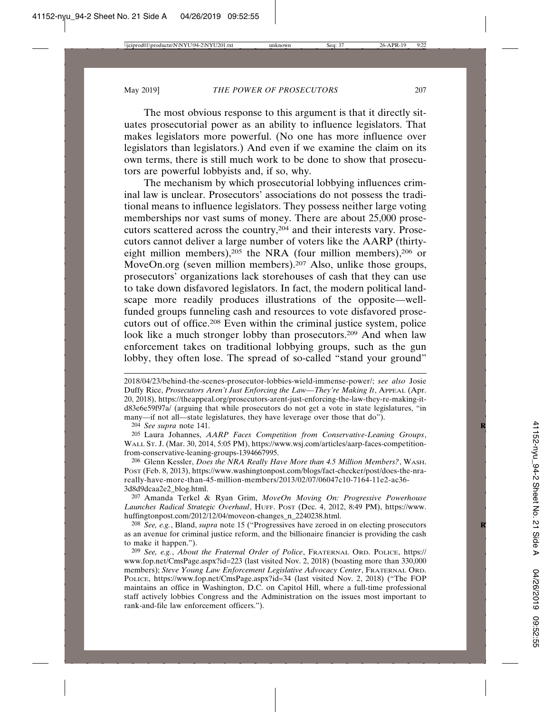The most obvious response to this argument is that it directly situates prosecutorial power as an ability to influence legislators. That makes legislators more powerful. (No one has more influence over legislators than legislators.) And even if we examine the claim on its own terms, there is still much work to be done to show that prosecutors are powerful lobbyists and, if so, why.

The mechanism by which prosecutorial lobbying influences criminal law is unclear. Prosecutors' associations do not possess the traditional means to influence legislators. They possess neither large voting memberships nor vast sums of money. There are about 25,000 prosecutors scattered across the country,204 and their interests vary. Prosecutors cannot deliver a large number of voters like the AARP (thirtyeight million members),205 the NRA (four million members),206 or MoveOn.org (seven million members).<sup>207</sup> Also, unlike those groups, prosecutors' organizations lack storehouses of cash that they can use to take down disfavored legislators. In fact, the modern political landscape more readily produces illustrations of the opposite—wellfunded groups funneling cash and resources to vote disfavored prosecutors out of office.208 Even within the criminal justice system, police look like a much stronger lobby than prosecutors.209 And when law enforcement takes on traditional lobbying groups, such as the gun lobby, they often lose. The spread of so-called "stand your ground"

204 *See supra* note 141. **R**

205 Laura Johannes, *AARP Faces Competition from Conservative-Leaning Groups*, WALL ST. J. (Mar. 30, 2014, 5:05 PM), https://www.wsj.com/articles/aarp-faces-competitionfrom-conservative-leaning-groups-1394667995.

206 Glenn Kessler, *Does the NRA Really Have More than 4.5 Million Members?*, WASH. POST (Feb. 8, 2013), https://www.washingtonpost.com/blogs/fact-checker/post/does-the-nrareally-have-more-than-45-million-members/2013/02/07/06047c10-7164-11e2-ac36- 3d8d9dcaa2e2\_blog.html.

207 Amanda Terkel & Ryan Grim, *MoveOn Moving On: Progressive Powerhouse Launches Radical Strategic Overhaul*, HUFF. POST (Dec. 4, 2012, 8:49 PM), https://www. huffingtonpost.com/2012/12/04/moveon-changes\_n\_2240238.html.

208 *See, e.g.*, Bland, *supra* note 15 ("Progressives have zeroed in on electing prosecutors **R** as an avenue for criminal justice reform, and the billionaire financier is providing the cash to make it happen.").

209 *See, e.g.*, *About the Fraternal Order of Police*, FRATERNAL ORD. POLICE, https:// www.fop.net/CmsPage.aspx?id=223 (last visited Nov. 2, 2018) (boasting more than 330,000 members); *Steve Young Law Enforcement Legislative Advocacy Center*, FRATERNAL ORD. POLICE, https://www.fop.net/CmsPage.aspx?id=34 (last visited Nov. 2, 2018) ("The FOP maintains an office in Washington, D.C. on Capitol Hill, where a full-time professional staff actively lobbies Congress and the Administration on the issues most important to rank-and-file law enforcement officers.").

<sup>2018/04/23/</sup>behind-the-scenes-prosecutor-lobbies-wield-immense-power/; *see also* Josie Duffy Rice, *Prosecutors Aren't Just Enforcing the Law—They're Making It*, APPEAL (Apr. 20, 2018), https://theappeal.org/prosecutors-arent-just-enforcing-the-law-they-re-making-itd83e6e59f97a/ (arguing that while prosecutors do not get a vote in state legislatures, "in many—if not all—state legislatures, they have leverage over those that do").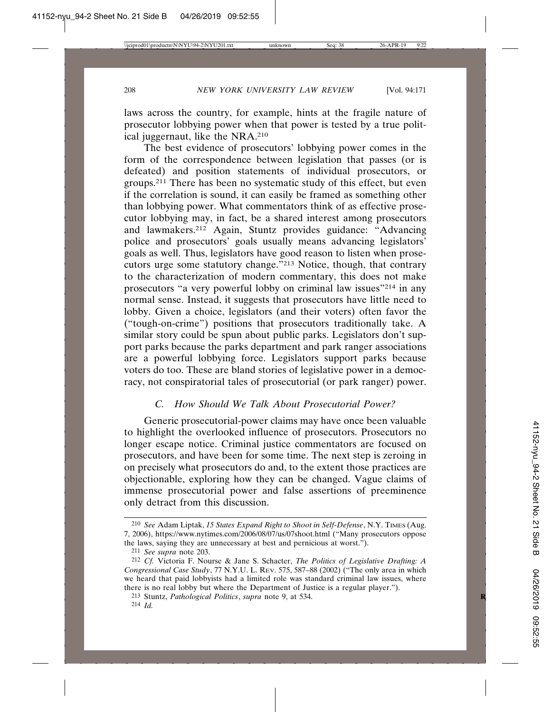laws across the country, for example, hints at the fragile nature of prosecutor lobbying power when that power is tested by a true political juggernaut, like the NRA.210

The best evidence of prosecutors' lobbying power comes in the form of the correspondence between legislation that passes (or is defeated) and position statements of individual prosecutors, or groups.211 There has been no systematic study of this effect, but even if the correlation is sound, it can easily be framed as something other than lobbying power. What commentators think of as effective prosecutor lobbying may, in fact, be a shared interest among prosecutors and lawmakers.212 Again, Stuntz provides guidance: "Advancing police and prosecutors' goals usually means advancing legislators' goals as well. Thus, legislators have good reason to listen when prosecutors urge some statutory change."213 Notice, though, that contrary to the characterization of modern commentary, this does not make prosecutors "a very powerful lobby on criminal law issues"214 in any normal sense. Instead, it suggests that prosecutors have little need to lobby. Given a choice, legislators (and their voters) often favor the ("tough-on-crime") positions that prosecutors traditionally take. A similar story could be spun about public parks. Legislators don't support parks because the parks department and park ranger associations are a powerful lobbying force. Legislators support parks because voters do too. These are bland stories of legislative power in a democracy, not conspiratorial tales of prosecutorial (or park ranger) power.

# *C. How Should We Talk About Prosecutorial Power?*

Generic prosecutorial-power claims may have once been valuable to highlight the overlooked influence of prosecutors. Prosecutors no longer escape notice. Criminal justice commentators are focused on prosecutors, and have been for some time. The next step is zeroing in on precisely what prosecutors do and, to the extent those practices are objectionable, exploring how they can be changed. Vague claims of immense prosecutorial power and false assertions of preeminence only detract from this discussion.

<sup>210</sup> *See* Adam Liptak, *15 States Expand Right to Shoot in Self-Defense*, N.Y. TIMES (Aug. 7, 2006), https://www.nytimes.com/2006/08/07/us/07shoot.html ("Many prosecutors oppose the laws, saying they are unnecessary at best and pernicious at worst.").

<sup>211</sup> *See supra* note 203.

<sup>212</sup> *Cf.* Victoria F. Nourse & Jane S. Schacter, *The Politics of Legislative Drafting: A Congressional Case Study*, 77 N.Y.U. L. REV. 575, 587–88 (2002) ("The only area in which we heard that paid lobbyists had a limited role was standard criminal law issues, where there is no real lobby but where the Department of Justice is a regular player.").

<sup>213</sup> Stuntz, *Pathological Politics*, *supra* note 9, at 534. **R**

<sup>214</sup> *Id.*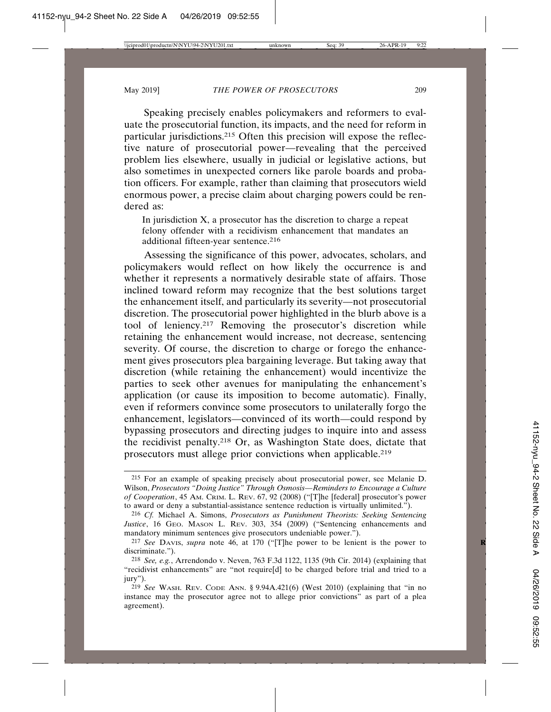Speaking precisely enables policymakers and reformers to evaluate the prosecutorial function, its impacts, and the need for reform in particular jurisdictions.215 Often this precision will expose the reflective nature of prosecutorial power—revealing that the perceived problem lies elsewhere, usually in judicial or legislative actions, but also sometimes in unexpected corners like parole boards and probation officers. For example, rather than claiming that prosecutors wield enormous power, a precise claim about charging powers could be rendered as:

In jurisdiction X, a prosecutor has the discretion to charge a repeat felony offender with a recidivism enhancement that mandates an additional fifteen-year sentence.<sup>216</sup>

Assessing the significance of this power, advocates, scholars, and policymakers would reflect on how likely the occurrence is and whether it represents a normatively desirable state of affairs. Those inclined toward reform may recognize that the best solutions target the enhancement itself, and particularly its severity—not prosecutorial discretion. The prosecutorial power highlighted in the blurb above is a tool of leniency.<sup>217</sup> Removing the prosecutor's discretion while retaining the enhancement would increase, not decrease, sentencing severity. Of course, the discretion to charge or forego the enhancement gives prosecutors plea bargaining leverage. But taking away that discretion (while retaining the enhancement) would incentivize the parties to seek other avenues for manipulating the enhancement's application (or cause its imposition to become automatic). Finally, even if reformers convince some prosecutors to unilaterally forgo the enhancement, legislators—convinced of its worth—could respond by bypassing prosecutors and directing judges to inquire into and assess the recidivist penalty.218 Or, as Washington State does, dictate that prosecutors must allege prior convictions when applicable.219

<sup>215</sup> For an example of speaking precisely about prosecutorial power, see Melanie D. Wilson, *Prosecutors "Doing Justice" Through Osmosis—Reminders to Encourage a Culture of Cooperation*, 45 AM. CRIM. L. REV. 67, 92 (2008) ("[T]he [federal] prosecutor's power to award or deny a substantial-assistance sentence reduction is virtually unlimited.").

<sup>216</sup> *Cf.* Michael A. Simons, *Prosecutors as Punishment Theorists: Seeking Sentencing* Justice, 16 GEO. MASON L. REV. 303, 354 (2009) ("Sentencing enhancements and mandatory minimum sentences give prosecutors undeniable power.").

<sup>217</sup> *See* DAVIS, *supra* note 46, at 170 ("[T]he power to be lenient is the power to **R** discriminate.").

<sup>218</sup> *See, e.g.*, Arrendondo v. Neven, 763 F.3d 1122, 1135 (9th Cir. 2014) (explaining that "recidivist enhancements" are "not require[d] to be charged before trial and tried to a iury").

<sup>219</sup> *See* WASH. REV. CODE ANN. § 9.94A.421(6) (West 2010) (explaining that "in no instance may the prosecutor agree not to allege prior convictions" as part of a plea agreement).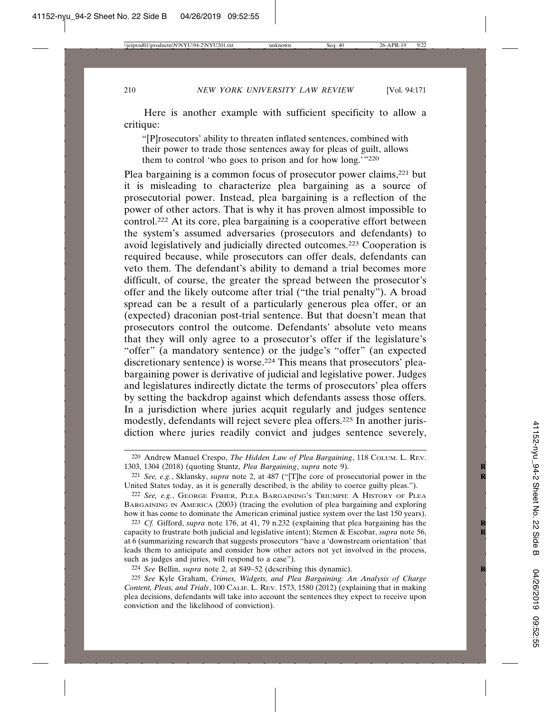Here is another example with sufficient specificity to allow a critique:

"[P]rosecutors' ability to threaten inflated sentences, combined with their power to trade those sentences away for pleas of guilt, allows them to control 'who goes to prison and for how long.'"<sup>220</sup>

Plea bargaining is a common focus of prosecutor power claims,<sup>221</sup> but it is misleading to characterize plea bargaining as a source of prosecutorial power. Instead, plea bargaining is a reflection of the power of other actors. That is why it has proven almost impossible to control.222 At its core, plea bargaining is a cooperative effort between the system's assumed adversaries (prosecutors and defendants) to avoid legislatively and judicially directed outcomes.223 Cooperation is required because, while prosecutors can offer deals, defendants can veto them. The defendant's ability to demand a trial becomes more difficult, of course, the greater the spread between the prosecutor's offer and the likely outcome after trial ("the trial penalty"). A broad spread can be a result of a particularly generous plea offer, or an (expected) draconian post-trial sentence. But that doesn't mean that prosecutors control the outcome. Defendants' absolute veto means that they will only agree to a prosecutor's offer if the legislature's "offer" (a mandatory sentence) or the judge's "offer" (an expected discretionary sentence) is worse.224 This means that prosecutors' pleabargaining power is derivative of judicial and legislative power. Judges and legislatures indirectly dictate the terms of prosecutors' plea offers by setting the backdrop against which defendants assess those offers. In a jurisdiction where juries acquit regularly and judges sentence modestly, defendants will reject severe plea offers.225 In another jurisdiction where juries readily convict and judges sentence severely,

<sup>220</sup> Andrew Manuel Crespo, *The Hidden Law of Plea Bargaining*, 118 COLUM. L. REV. 1303, 1304 (2018) (quoting Stuntz, *Plea Bargaining*, *supra* note 9). **R**

<sup>221</sup> *See, e.g.*, Sklansky, *supra* note 2, at 487 ("[T]he core of prosecutorial power in the **R** United States today, as it is generally described, is the ability to coerce guilty pleas.").

<sup>222</sup> *See, e.g.*, GEORGE FISHER, PLEA BARGAINING'S TRIUMPH: A HISTORY OF PLEA BARGAINING IN AMERICA (2003) (tracing the evolution of plea bargaining and exploring how it has come to dominate the American criminal justice system over the last 150 years).

<sup>223</sup> *Cf.* Gifford, *supra* note 176, at 41, 79 n.232 (explaining that plea bargaining has the **R** capacity to frustrate both judicial and legislative intent); Stemen & Escobar, *supra* note 56, **R** at 6 (summarizing research that suggests prosecutors "have a 'downstream orientation' that leads them to anticipate and consider how other actors not yet involved in the process, such as judges and juries, will respond to a case").

<sup>224</sup> *See* Bellin, *supra* note 2, at 849–52 (describing this dynamic). **R**

<sup>225</sup> *See* Kyle Graham, *Crimes, Widgets, and Plea Bargaining: An Analysis of Charge Content, Pleas, and Trials*, 100 CALIF. L. REV. 1573, 1580 (2012) (explaining that in making plea decisions, defendants will take into account the sentences they expect to receive upon conviction and the likelihood of conviction).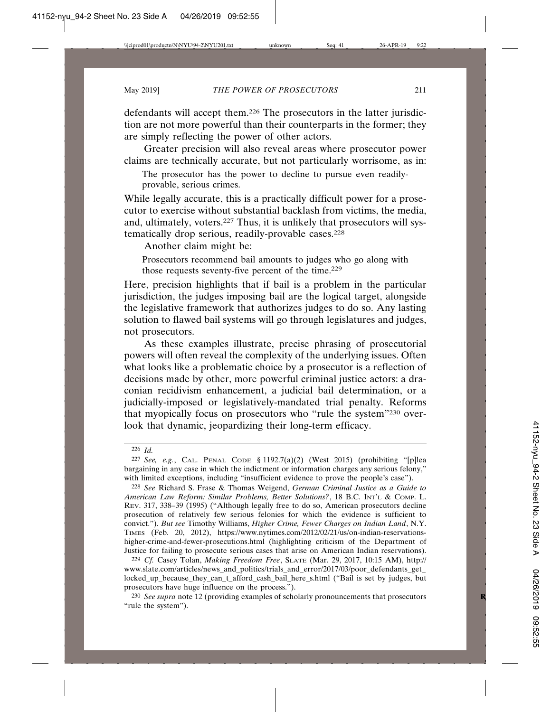defendants will accept them.226 The prosecutors in the latter jurisdiction are not more powerful than their counterparts in the former; they are simply reflecting the power of other actors.

Greater precision will also reveal areas where prosecutor power claims are technically accurate, but not particularly worrisome, as in:

The prosecutor has the power to decline to pursue even readilyprovable, serious crimes.

While legally accurate, this is a practically difficult power for a prosecutor to exercise without substantial backlash from victims, the media, and, ultimately, voters.227 Thus, it is unlikely that prosecutors will systematically drop serious, readily-provable cases.<sup>228</sup>

Another claim might be:

Prosecutors recommend bail amounts to judges who go along with those requests seventy-five percent of the time.229

Here, precision highlights that if bail is a problem in the particular jurisdiction, the judges imposing bail are the logical target, alongside the legislative framework that authorizes judges to do so. Any lasting solution to flawed bail systems will go through legislatures and judges, not prosecutors.

As these examples illustrate, precise phrasing of prosecutorial powers will often reveal the complexity of the underlying issues. Often what looks like a problematic choice by a prosecutor is a reflection of decisions made by other, more powerful criminal justice actors: a draconian recidivism enhancement, a judicial bail determination, or a judicially-imposed or legislatively-mandated trial penalty. Reforms that myopically focus on prosecutors who "rule the system"230 overlook that dynamic, jeopardizing their long-term efficacy.

226 *Id.*

229 *Cf.* Casey Tolan, *Making Freedom Free*, SLATE (Mar. 29, 2017, 10:15 AM), http:// www.slate.com/articles/news\_and\_politics/trials\_and\_error/2017/03/poor\_defendants\_get\_ locked\_up\_because\_they\_can\_t\_afford\_cash\_bail\_here\_s.html ("Bail is set by judges, but prosecutors have huge influence on the process.").

230 *See supra* note 12 (providing examples of scholarly pronouncements that prosecutors **R** "rule the system").

<sup>227</sup> *See, e.g.*, CAL. PENAL CODE § 1192.7(a)(2) (West 2015) (prohibiting "[p]lea bargaining in any case in which the indictment or information charges any serious felony," with limited exceptions, including "insufficient evidence to prove the people's case").

<sup>228</sup> *See* Richard S. Frase & Thomas Weigend, *German Criminal Justice as a Guide to American Law Reform: Similar Problems, Better Solutions?*, 18 B.C. INT'L & COMP. L. REV. 317, 338–39 (1995) ("Although legally free to do so, American prosecutors decline prosecution of relatively few serious felonies for which the evidence is sufficient to convict."). *But see* Timothy Williams, *Higher Crime, Fewer Charges on Indian Land*, N.Y. TIMES (Feb. 20, 2012), https://www.nytimes.com/2012/02/21/us/on-indian-reservationshigher-crime-and-fewer-prosecutions.html (highlighting criticism of the Department of Justice for failing to prosecute serious cases that arise on American Indian reservations).